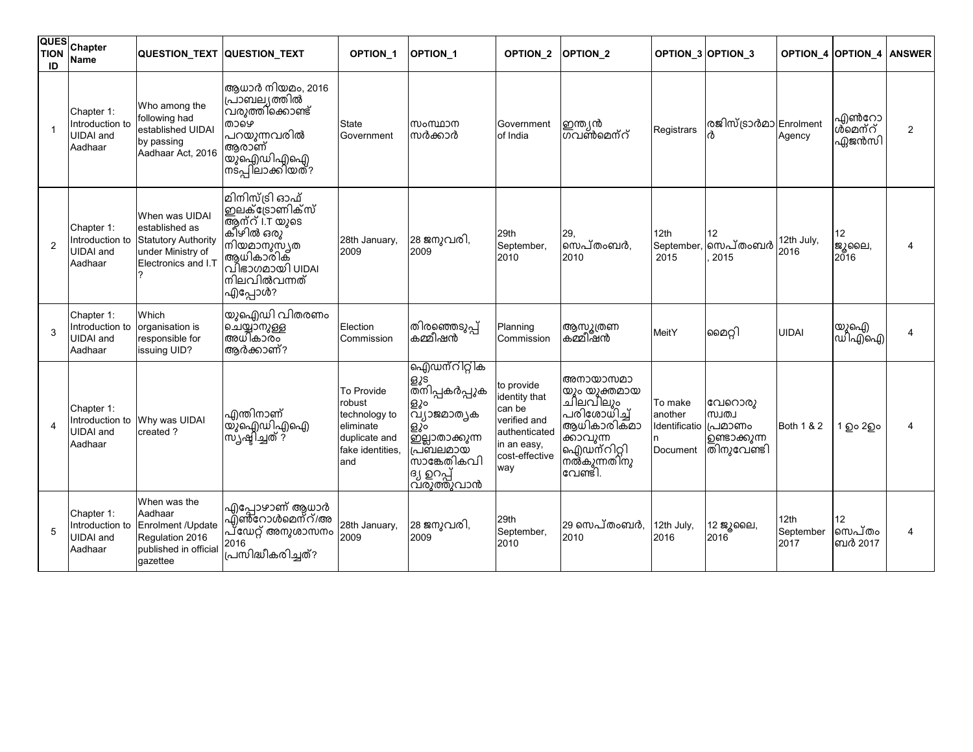| <b>QUES</b><br><b>TION</b><br>ID | Chapter<br><b>Name</b>                                       | QUESTION_TEXT QUESTION_TEXT                                                                                |                                                                                                                                           | <b>OPTION 1</b>                                                                                | <b>OPTION 1</b>                                                                                                                             | OPTION_2                                                                                                       | <b>OPTION 2</b>                                                                                                          |                                                        | OPTION_3 OPTION_3                             |                           | OPTION_4 OPTION_4 ANSWER  |                         |
|----------------------------------|--------------------------------------------------------------|------------------------------------------------------------------------------------------------------------|-------------------------------------------------------------------------------------------------------------------------------------------|------------------------------------------------------------------------------------------------|---------------------------------------------------------------------------------------------------------------------------------------------|----------------------------------------------------------------------------------------------------------------|--------------------------------------------------------------------------------------------------------------------------|--------------------------------------------------------|-----------------------------------------------|---------------------------|---------------------------|-------------------------|
|                                  | Chapter 1:<br>Introduction to<br><b>UIDAI</b> and<br>Aadhaar | Who among the<br>following had<br>established UIDAI<br>by passing<br>Aadhaar Act, 2016                     | ആധാർ നിയമം, 2016<br>പ്രാബല്യത്തിൽ<br>.<br>വരുത്തിക്കൊണ്ട്<br>താഴെ<br>പറയുന്നവരിൽ<br>ആരാണ്<br> യുഐഡിഎഐ<br> നടപ്പിലാക്കിയത്?                | State<br>Government                                                                            | സംസ്ഥാന<br>സർക്കാർ                                                                                                                          | Government<br>of India                                                                                         | ഇന്ത്യൻ<br> ഗവൺമെന്റ്                                                                                                    | Registrars                                             | രജിസ്ട്രാർമാ Enrolment                        | Agency                    | എൺറോ<br>ൾ്മെന്റ്<br>ഏജൻസി | $\overline{2}$          |
| $\overline{2}$                   | Chapter 1:<br>Introduction to<br><b>UIDAI</b> and<br>Aadhaar | When was UIDAI<br>established as<br><b>Statutory Authority</b><br>under Ministry of<br>Electronics and I.T | മിനിസ്ട്രി ഓഫ്<br>෨ലക്ട്രോണിക്സ്<br>ആന്റ് i.T യുടെ<br>കിഴിൽ ഒരു<br>നിയമാനുസ്ൃത<br>ആധികാരിക്<br>വിഭാഗമായി UIDAI<br>നിലവിൽവന്നത്<br>എപ്പോൾ? | 28th January,<br>2009                                                                          | 28 ജനുവരി,<br>2009                                                                                                                          | 29th<br>September,<br>2010                                                                                     | 29,<br>സെപ്തംബർ,<br>2010                                                                                                 | 12th<br>September<br>2015                              | 12<br>സെപ്തംബർ<br>2015                        | 12th July,<br>2016        | 12<br>ജൂലൈ,<br>2016       | $\overline{\mathbf{4}}$ |
| 3                                | Chapter 1:<br>Introduction to<br><b>UIDAI</b> and<br>Aadhaar | Which<br>organisation is<br>responsible for<br>issuing UID?                                                | യുഐഡി വിതരണം<br> ചെയ്യാനുള്ള<br> അധികാരം<br>ആർക്കാണ്?                                                                                     | Election<br>Commission                                                                         | .<br>തിരഞ്ഞെടുപ്പ്<br>കമ്മീഷൻ                                                                                                               | Planning<br>Commission                                                                                         | ആസൂത്രണ<br>കമ്മീഷൻ                                                                                                       | MeitY                                                  | മൈറ്റി                                        | <b>UIDAI</b>              | യുഐ)<br>ഡിഎഐ              | 4                       |
| $\boldsymbol{\Delta}$            | Chapter 1:<br>Introduction to<br><b>UIDAI</b> and<br>Aadhaar | Why was UIDAI<br>created ?                                                                                 | എന്തിനാണ്<br>യു്ഐഡിഎഐ<br>സ്ൃഷ്ടിച്ചത് ?                                                                                                   | To Provide<br>robust<br>technology to<br>eliminate<br>duplicate and<br>fake identities,<br>and | ഐഡന്റിറ്റിക<br> ളൂട്<br> തനിപ്പകർപ്പുക<br>ളും<br>൛ഽ൮ഁ൛൚൚൭<br>ളും<br> ഇല്ലാതാക്കുന്ന<br>പ്രബലമായ<br>സാങ്കേതികവി<br>ദ്യ ഉറപ്പ്<br>വ്രുത്തുവാൻ | to provide<br>identity that<br>can be<br>verified and<br>authenticated<br>in an easy,<br>cost-effective<br>way | അനായാസമാ<br>യും യുക്തമായ<br>ചിലവിലും<br>പരിശോധിച്ച്<br>ആധികാരിക്മാ<br>ക്കാവുന്ന<br>ഐഡ്ന്റിറ്റി<br>നൽകുന്നതിനു<br>വേണ്ടി. | To make<br>another<br>ldentificatio (പമാണം<br>Document | വേറൊരു<br>முடம்<br>൭ണ്ടാക്കുന്ന<br>തിനുവേണ്ടി | Both 1 & 2                | 1 ഉം 2ഉം                  | 4                       |
| 5                                | Chapter 1:<br>Introduction to<br><b>UIDAI</b> and<br>Aadhaar | When was the<br>Aadhaar<br>Enrolment /Update<br>Regulation 2016<br>published in official<br>gazettee       | എപ്പോഴാണ് ആധാർ<br>എ്ൺറോൾമെന്റ്/അ<br>പ്ഡേറ്റ് അനുശാസനം<br>2016<br>പ്രസിദ്ധീകരിച്ചത്?                                                       | 28th January,<br>2009                                                                          | 28 ജനുവരി,<br>2009                                                                                                                          | 29th<br>September,<br>2010                                                                                     | 29 സെപ്തംബർ,<br>2010                                                                                                     | 12th July,<br>2016                                     | 12 ജൂലൈ,<br>2016                              | 12th<br>September<br>2017 | 12<br>സെപ്തം<br>ബർ 2017   | 4                       |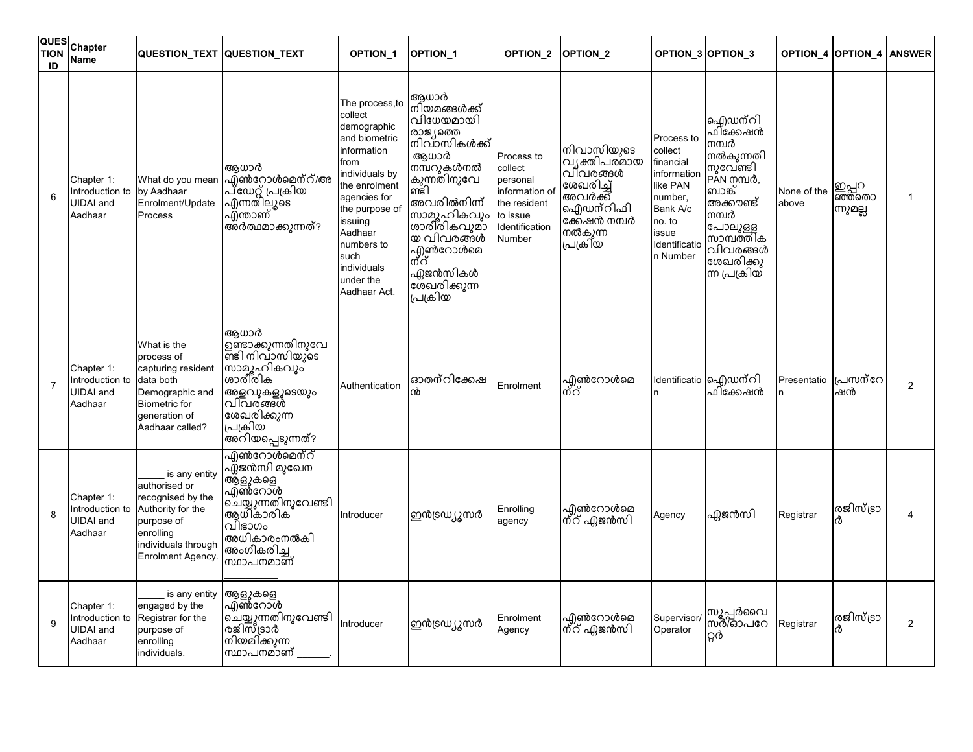| QUES<br><b>TION</b><br>ID | Chapter<br>Name                                              |                                                                                                                                                 | QUESTION_TEXT QUESTION_TEXT                                                                                                                         | OPTION_1                                                                                                                                                                                                                                      | OPTION_1                                                                                                                                                                                                                         | OPTION_2                                                                                                    | OPTION <sub>2</sub>                                                                                                |                                                                                                                                      | OPTION_3 OPTION_3                                                                                                                                                    |                      | OPTION_4 OPTION_4          | <b>ANSWER</b>  |
|---------------------------|--------------------------------------------------------------|-------------------------------------------------------------------------------------------------------------------------------------------------|-----------------------------------------------------------------------------------------------------------------------------------------------------|-----------------------------------------------------------------------------------------------------------------------------------------------------------------------------------------------------------------------------------------------|----------------------------------------------------------------------------------------------------------------------------------------------------------------------------------------------------------------------------------|-------------------------------------------------------------------------------------------------------------|--------------------------------------------------------------------------------------------------------------------|--------------------------------------------------------------------------------------------------------------------------------------|----------------------------------------------------------------------------------------------------------------------------------------------------------------------|----------------------|----------------------------|----------------|
| 6                         | Chapter 1:<br>Introduction to<br><b>UIDAI</b> and<br>Aadhaar | What do you mean<br>by Aadhaar<br>Enrolment/Update<br>Process                                                                                   | ആധാർ<br>എൺറോൾമെന്റ്/അ<br>പ്ഡേറ്റ് പ്രക്രിയ<br>എന്നതിലൂടെ<br>എന്താണ്<br>അർത്ഥമാക്കുന്നത്?                                                            | The process,to<br>collect<br>demographic<br>and biometric<br>information<br>from<br>individuals by<br>the enrolment<br>agencies for<br>the purpose of<br>issuing<br>Aadhaar<br>numbers to<br>such<br>individuals<br>under the<br>Aadhaar Act. | ആധാർ<br>നിയമങ്ങൾക്ക്<br>വിധേയമായി<br>രാജ്യത്തെ<br>നിവാസികൾക്ക്<br>ആധാർ<br>നമ്പറുകൾനൽ<br>കുന്നതിനുവേ<br>ണ്ടി<br>അവരിൽനിന്ന്<br>സാമൂഹികവും<br>ശാരി്രികവുമാ<br>യ വിവരങ്ങൾ<br>എൺറോൾമെ<br>ന്റ്<br>ഏജൻസികൾ<br>ശേഖരിക്കുന്ന<br>പ്രക്രിയ | Process to<br>collect<br>personal<br>information of<br>the resident<br>to issue<br>Identification<br>Number | നിവാസിയുടെ<br>വ്യക്തിപര്മായ<br>വിവരങ്ങൾ<br>ശേഖരിച്ച്<br>അവർക്ക്<br>ഐഡന്റിഫി<br>ക്കേഷൻ നമ്പർ<br>നൽകുന്ന<br>പ്രക്രിയ | Process to<br>collect<br>financial<br>information<br>like PAN<br>number,<br>Bank A/c<br>no. to<br>issue<br>Identificatio<br>n Number | ഐഡന്റി<br>ഫി്ക്കേഷൻ<br>നമ്പർ<br>നൽകുന്നതി<br>നുവേണ്ടി<br>PAN mm10,<br>ബാങ്ക്<br>അക്കൗണ്ട്<br>നമ്പർ<br>പോലുള്ള<br>സാമ്പത്തിക<br>വിവരങ്ങൾ<br>ശേഖരിക്കു<br>ന്ന പ്രക്രിയ | None of the<br>above | ഇപ്പറ<br>ഞ്ഞതൊ<br>ന്നുമല്ല | 1              |
| $\overline{7}$            | Chapter 1:<br>Introduction to<br><b>UIDAI</b> and<br>Aadhaar | What is the<br>process of<br>capturing resident<br>data both<br>Demographic and<br><b>Biometric</b> for<br>generation of<br>Aadhaar called?     | അധാർ<br>ഉണ്ടാക്കുന്നതിനുവേ<br>ണ്ടി നിവാസിയുടെ<br>സാമൂഹികവും<br>ശാരീരിക<br>അളവുകളുടെയും<br>വിവര്ങ്ങൾ<br>ശേഖരിക്കുന്ന<br>പ്രക്രിയ<br>അറിയപ്പെടുന്നത്? | Authentication                                                                                                                                                                                                                                | ഓതന്റിക്കേഷ<br>ൻ                                                                                                                                                                                                                 | Enrolment                                                                                                   | എൺറോൾമെ<br>ന്റ്                                                                                                    | n.                                                                                                                                   | Identificatio  ഐഡന്റി<br>ഫിക്കേഷൻ                                                                                                                                    | Presentatio<br>n     | പ്രസന്റേ<br>ഷൻ             | $\overline{2}$ |
| 8                         | Chapter 1:<br>Introduction to<br><b>UIDAI</b> and<br>Aadhaar | is any entity<br>authorised or<br>recognised by the<br>Authority for the<br>purpose of<br>enrolling<br>individuals through<br>Enrolment Agency. | <u>എൺറോൾമെന്റ്</u><br>ഫ്ല്ജൻസി മുഖേന<br>ആളുകളെ<br>എൺറോൾ<br>ചെയ്യുന്നതിനുവേണ്ടി<br>ആധികാരിക<br>വിഭാഗം<br>അധികാരംനൽകി<br>അംഗീകരിച്ച<br>ന്ധാപനമാണ്     | Introducer                                                                                                                                                                                                                                    | ഇൻട്രഡ്യൂസർ                                                                                                                                                                                                                      | Enrolling<br>agency                                                                                         | എൺറോൾമെ<br> ന്റ് ഏജൻസി                                                                                             | Agency                                                                                                                               | ഏജൻസി                                                                                                                                                                | Registrar            | രജിസ്ട്രാ                  |                |
| 9                         | Chapter 1:<br>Introduction to<br><b>UIDAI</b> and<br>Aadhaar | is any entity<br>engaged by the<br>Registrar for the<br>purpose of<br>enrolling<br>individuals.                                                 | ആളുകളെ<br>എൺറോൾ<br>ചെയ്യുന്നതിനുവേണ്ട <del>ി</del><br>രജിസ്ട്രാർ<br>നിയമിക്കുന്ന<br>സ്ഥാപനമാണ്                                                      | Introducer                                                                                                                                                                                                                                    | ഇൻട്രഡ്യൂസർ                                                                                                                                                                                                                      | Enrolment<br>Agency                                                                                         | എൺറോൾമെ<br>ന്റ് ഏജൻസി                                                                                              | Supervisor/<br>Operator                                                                                                              | സൂപ്പർവൈ<br>സർശ്ാപറേ<br>გർ                                                                                                                                           | Registrar            | രജിസ്ട്രാ                  | $\overline{2}$ |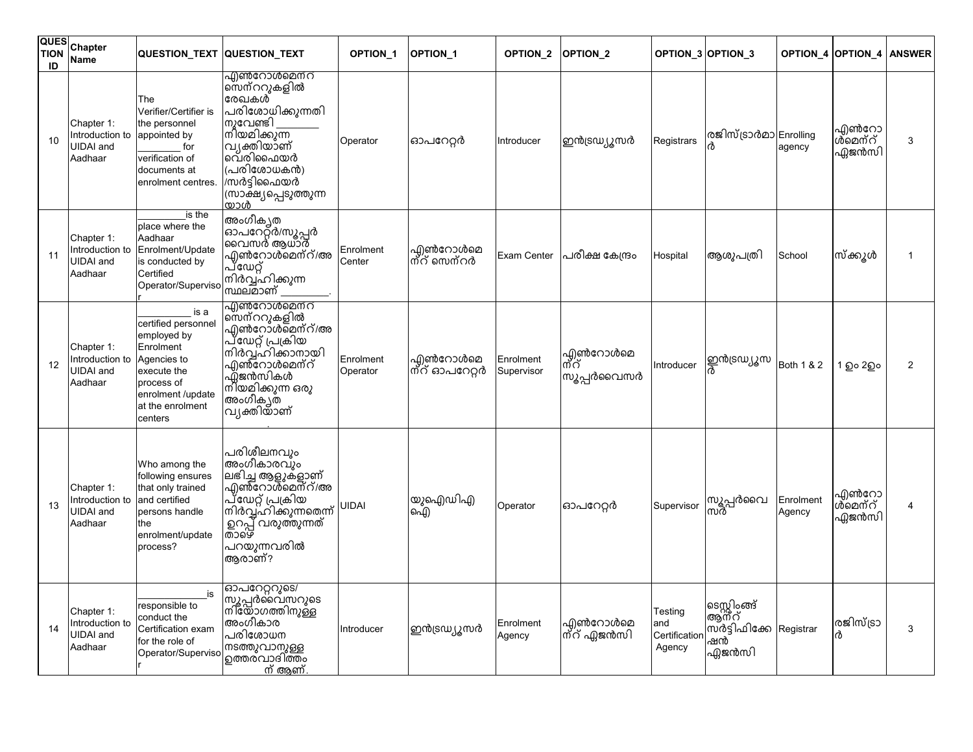| <b>QUES</b><br><b>TION</b><br>ID | Chapter<br>Name                                              | <b>QUESTION TEXT QUESTION TEXT</b>                                                                                                                      |                                                                                                                                                                                 | <b>OPTION 1</b>       | <b>OPTION 1</b>           | <b>OPTION 2</b>         | <b>OPTION 2</b>                | OPTION <sub>3</sub>                      | <b>OPTION 3</b>                                         |                     | <b>OPTION 4 OPTION 4</b>  | <b>ANSWER</b> |
|----------------------------------|--------------------------------------------------------------|---------------------------------------------------------------------------------------------------------------------------------------------------------|---------------------------------------------------------------------------------------------------------------------------------------------------------------------------------|-----------------------|---------------------------|-------------------------|--------------------------------|------------------------------------------|---------------------------------------------------------|---------------------|---------------------------|---------------|
| 10                               | Chapter 1:<br>Introduction to<br><b>UIDAI</b> and<br>Aadhaar | The<br>Verifier/Certifier is<br>the personnel<br>appointed by<br>for<br>verification of<br>documents at<br>enrolment centres.                           | <u>എൺറോൾമെനറ</u><br>സെന്ററുകളിൽ<br>രേഖകൾ<br>പരിശോധിക്കുന്നതി<br>നുവേണ്ടി<br>നിയമിക്കുന്ന<br>വൃക്തിയാണ്<br>വെരിഫൈയർ<br>(പരിശോധകൻ)<br>/സർട്ടിഫൈയർ<br>(സാക്ഷ്യപ്പെടുത്തുന്ന<br>യാൾ | Operator              | ഓപറേറ്റർ                  | Introducer              | ഇൻട്രഡ്യൂസർ                    | Registrars                               | രജിസ്ട്രാർമാ Enrolling                                  | agency              | എൺറോ<br>ൾമെന്റ്<br>ഏജൻസി  | 3             |
| 11                               | Chapter 1:<br>Introduction to<br><b>UIDAI</b> and<br>Aadhaar | is the<br>place where the<br>Aadhaar<br>Enrolment/Update<br>is conducted by<br>Certified<br>Operator/Superviso                                          | അംഗീക്യത<br>ഓപറേറ്റ്ർ/സൂപ്പർ<br>വൈസർ ആധാർ<br>എൺറോൾമെന്റ്/അ<br>പ്ഡേറ്റ്<br>നിർവ്വ്ഹിക്കുന്ന<br>സ്ഥലമാണ്                                                                          | Enrolment<br>Center   | എൺറോൾമെ<br> ന്റ് സെന്റർ   | Exam Center             | പരീക്ഷ കേന്ദ്രം                | Hospital                                 | ആശുപത്രി                                                | School              | സ്ക്കൂൾ                   |               |
| 12                               | Chapter 1:<br>Introduction to<br><b>UIDAI</b> and<br>Aadhaar | is a<br>certified personnel<br>employed by<br>Enrolment<br>Agencies to<br>execute the<br>process of<br>enrolment /update<br>at the enrolment<br>centers | <u>എൺറോൾമെന്റ്</u><br>സെന്ററുകളിൽ<br>എൺറോ്ൾമെന്റ്/അ<br>പ്ഢേറ്റ് പ്രക്രിയ<br>നിർവ്വ്ഹിക്കാനായി<br>എൺ്റോൾമെന്റ്<br>൶ഃഅസികൾ<br>നിയമിക്കുന്ന ഒരു<br>അംഗീക്യത<br>വൃക്തിയാണ്          | Enrolment<br>Operator | ഫിൺറോൾമെ<br>ത്റ് ഓപറേറ്റർ | Enrolment<br>Supervisor | എൺറോൾമെ<br> ന്റ്<br>സൂപ്പർവൈസർ | Introducer                               | ഇൻട്രഡ്യൂസ                                              | Both 1 & 2          | 1 වුං 2වුං                | 2             |
| 13                               | Chapter 1:<br>Introduction to<br><b>UIDAI</b> and<br>Aadhaar | Who among the<br>following ensures<br>that only trained<br>and certified<br>persons handle<br>the<br>enrolment/update<br>process?                       | പരിശീലനവും<br>അംഗീകാരവും<br>ലഭിച്ച ആളുകളാണ്<br>എൺറോൾ്മെന്റ്/അ<br>പ്ഡേറ്റ് പ്രക്രിയ<br>നിർവ്വ്ഹിക്കുന്നതെന്ന്<br>  ഉറപ്പ് വരുത്തുന്നത്<br> താഴെ<br>പറയുന്നവരിൽ<br>ആരാണ്?         | uidai                 | യുഐഡിഎ<br>ഐ               | Operator                | ഓപറേറ്റർ                       | Supervisor                               | സൂപ്പർവൈ<br>സർ                                          | Enrolment<br>Agency | എൺറോ<br>ശ്മെന്റ്<br>ഏജൻസി |               |
| 14                               | Chapter 1:<br>Introduction to<br><b>UIDAI</b> and<br>Aadhaar | is<br>responsible to<br>conduct the<br>Certification exam<br>for the role of<br>Operator/Superviso                                                      | ഓപറേറ്ററുടെ/<br>൝<br>സൂപ്പർവൈസറുടെ<br>നിയോഗത്തിനുള്ള<br>അംഗീകാര<br>പരിശോധന<br>നടത്തുവാനുള്ള<br>൭ത്തരവാദിത്തം<br><u>ന് അണ്</u>                                                   | Introducer            | ഇൻട്രഡ്യൂസർ               | Enrolment<br>Agency     | എൺറോൾമെ<br>ന്റ് ഏജൻസി          | Testing<br>and<br>Certificatio<br>Agency | ടെസ്റ്റിംങ്ങ്<br>ആ്ന്റ്<br>സ്ർട്ടിഫിക്കേ<br>ഷൻ<br>ഏജൻസി | Registrar           | രജിസ്ട്രാ<br>ൾ            | 3             |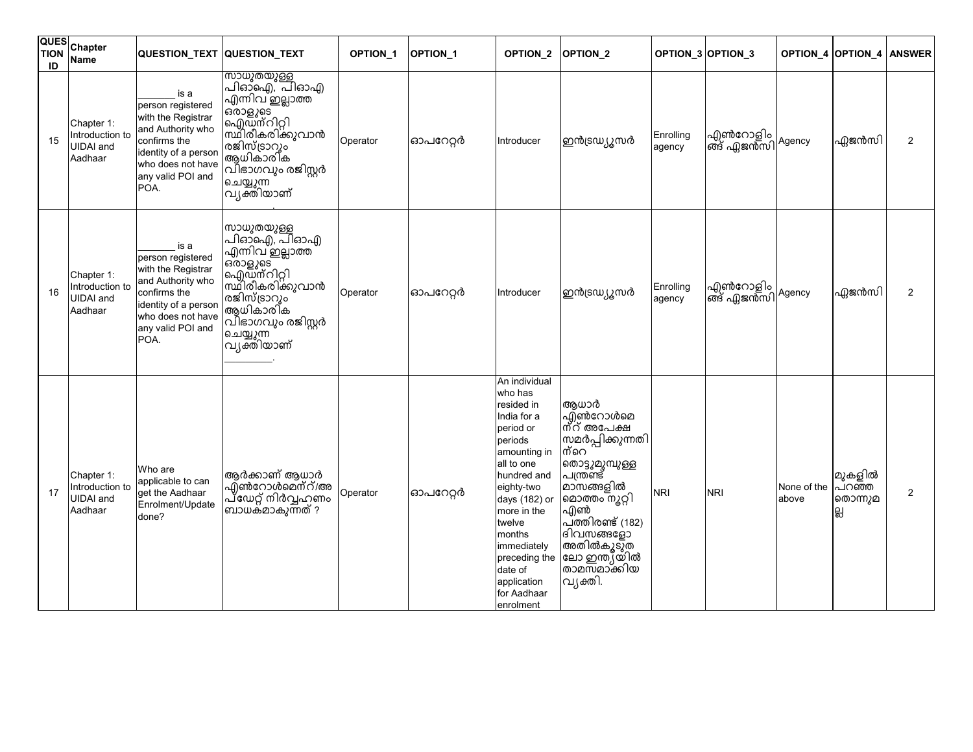| <b>QUES</b><br><b>TION</b><br>ID | Chapter<br><b>Name</b>                                       | QUESTION_TEXT QUESTION_TEXT                                                                                                                                    |                                                                                                                                                                                             | OPTION_1 | OPTION_1 | OPTION_2                                                                                                                                                                                                                                                                           | OPTION <sub>2</sub>                                                                                                                                                                                                         |                     | OPTION_3 OPTION_3                            |                      | <b>OPTION_4 OPTION_4</b>        | <b>ANSWER</b>  |
|----------------------------------|--------------------------------------------------------------|----------------------------------------------------------------------------------------------------------------------------------------------------------------|---------------------------------------------------------------------------------------------------------------------------------------------------------------------------------------------|----------|----------|------------------------------------------------------------------------------------------------------------------------------------------------------------------------------------------------------------------------------------------------------------------------------------|-----------------------------------------------------------------------------------------------------------------------------------------------------------------------------------------------------------------------------|---------------------|----------------------------------------------|----------------------|---------------------------------|----------------|
| 15                               | Chapter 1:<br>Introduction to<br>UIDAI and<br>Aadhaar        | is a<br>person registered<br>with the Registrar<br>and Authority who<br>confirms the<br>identity of a person<br>who does not have<br>any valid POI and<br>POA. | <del>സാധുതയുള്ള</del><br>പിഓ്ഐ്, പിഓഎ<br>.<br>എന്നിവ് ഇല്ലാത്ത<br>ഔളുടെ<br>ഐഡ്ന്റിറ്റി<br>സ്ഥിരീകരിക്കുവാൻ<br>രജിസ്ട്രാറും<br> ആധികാരി്ക<br> വിഭാഗവും രജിസ്റ്റർ<br>ചെയ്യുന്ന<br>വ്യക്തിയാണ് | Operator | ഓപറേറ്റർ | Introducer                                                                                                                                                                                                                                                                         | ഇൻട്രഡ്യൂസർ                                                                                                                                                                                                                 | Enrolling<br>agency | എൺറോളിം  <br> ങ്ങ് ഏജൻസി <mark>Agency</mark> |                      | ഏജൻസി                           | $\overline{2}$ |
| 16                               | Chapter 1:<br>Introduction to<br><b>UIDAI</b> and<br>Aadhaar | is a<br>person registered<br>with the Registrar<br>and Authority who<br>confirms the<br>identity of a person<br>who does not have<br>any valid POI and<br>POA. | സാധുതയുള്ള<br>പിഓ്ഐ്, പിഓഎ<br>എന്നിവ് ഇല്ലാത്ത<br>ഔളുടെ<br>ഐഡ്ന്റിറ്റി<br>സ്ഥിരീകരിക്കുവാൻ<br>രജിസ്ട്രാറും<br>.<br>ആധികാരിക<br>വിഭാഗവും രജിസ്റ്റർ<br>ചെയ്യുന്ന<br>വ്യക്തിയാണ്               | Operator | ഓപറേറ്റർ | Introducer                                                                                                                                                                                                                                                                         | ഇൻട്രഡ <u>്യൂ</u> സർ                                                                                                                                                                                                        | Enrolling<br>agency | എൺറോളിം<br>'ങ് എജൻസി <sup>/Agency</sup>      |                      | ഫ്ലജൻസി                         | 2              |
| 17                               | Chapter 1:<br>Introduction to<br><b>UIDAI</b> and<br>Aadhaar | Who are<br>applicable to can<br>get the Aadhaar<br>Enrolment/Update<br>done?                                                                                   | ആർക്കാണ് ആധാർ<br>എ്ൺറോൾമെന്റ്/അ<br>പ്ഢേറ്റ് നിർവ്വഹണം<br>ബാധക്മാകുന്നത് ?                                                                                                                   | Operator | ഓപറേറ്റർ | An individual<br>who has<br>resided in<br>India for a<br>period or<br>periods<br>amounting in<br>all to one<br>hundred and<br>eighty-two<br>days (182) or<br>more in the<br>twelve<br>months<br>immediately<br>preceding the<br>date of<br>application<br>for Aadhaar<br>enrolment | ആധാർ<br>എൺറോൾമെ<br>ന്റ് അപേക്ഷ<br>സ്രമർപ്പിക്കുന്നതി<br>ന്റെ<br>തൊട്ടുമുമ്പുള്ള<br>പന്ത്രണ്ട്<br>മാസങ്ങളിൽ<br>മൊത്തം നൂറ്റി<br>എൺ<br>പ്ത്തിരണ്ട് (182)<br>ദിവസങ്ങളോ<br>അതിൽകൂടുത<br>ലോ ഇന്ത്യയിൽ<br>താമസ്മാക്കിയ<br>വൃക്തി. | <b>NRI</b>          | <b>NRI</b>                                   | None of the<br>above | മുകളിൽ<br>പറഞ്ഞ<br>തൊന്നുമ<br>읪 | $\overline{2}$ |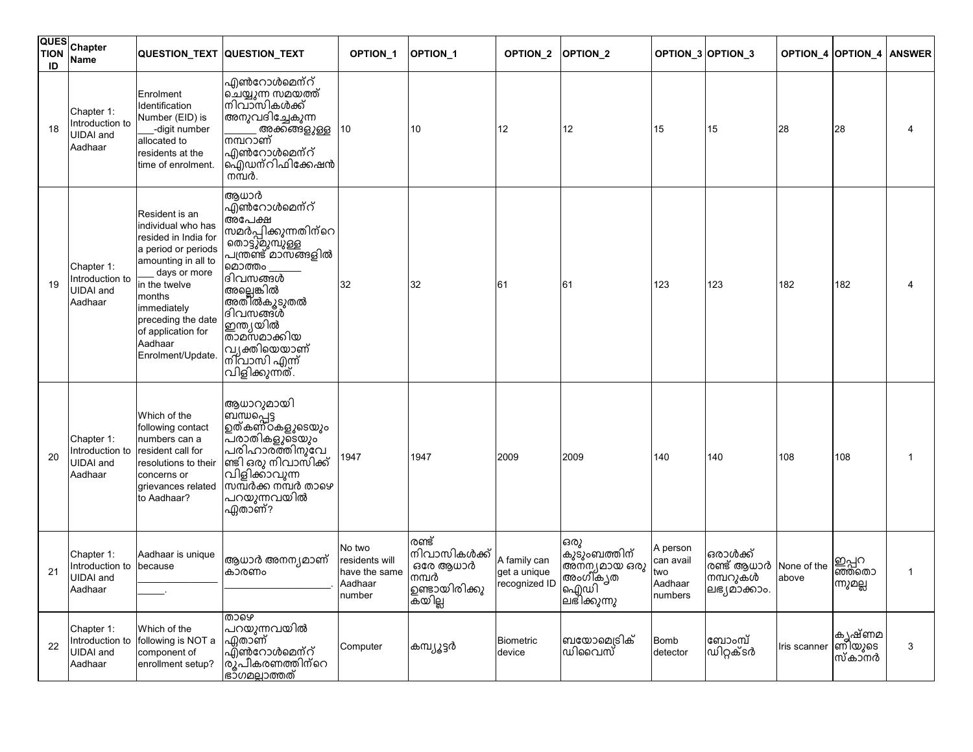| <b>QUES</b><br><b>TION</b><br>ID | Chapter<br>Name                                              |                                                                                                                                                                                                                                                  | QUESTION_TEXT QUESTION_TEXT                                                                                                                                                                                                                                          | OPTION_1                                                       | OPTION_1                                                              | <b>OPTION 2</b>                               | OPTION <sub>2</sub>                                                        |                                                    | OPTION_3 OPTION_3                                  |                      | <b>OPTION 4 OPTION 4</b>     | <b>ANSWER</b> |
|----------------------------------|--------------------------------------------------------------|--------------------------------------------------------------------------------------------------------------------------------------------------------------------------------------------------------------------------------------------------|----------------------------------------------------------------------------------------------------------------------------------------------------------------------------------------------------------------------------------------------------------------------|----------------------------------------------------------------|-----------------------------------------------------------------------|-----------------------------------------------|----------------------------------------------------------------------------|----------------------------------------------------|----------------------------------------------------|----------------------|------------------------------|---------------|
| 18                               | Chapter 1:<br>Introduction to<br><b>UIDAI</b> and<br>Aadhaar | Enrolment<br>Identification<br>Number (EID) is<br>-digit number<br>allocated to<br>residents at the<br>time of enrolment.                                                                                                                        | എൺറോൾമെന്റ്<br>ചെയ്യുന്ന സമയത്ത്<br>lനിവാസികൾക്ക്<br>അനുവദിച്ചേകുന്ന<br>അക്കങ്ങളുള്ള<br>നമ്പറാണ്<br>എൺറോൾമെന് <b>റ്</b><br>ഐഡന്റിഫിക്കേഷൻ<br>നമ്പർ.                                                                                                                  | 10                                                             | 10                                                                    | 12                                            | 12                                                                         | 15                                                 | 15                                                 | 28                   | 28                           |               |
| 19                               | Chapter 1:<br>Introduction to<br><b>UIDAI</b> and<br>Aadhaar | Resident is an<br>individual who has<br>resided in India for<br>a period or periods<br>amounting in all to<br>days or more<br>in the twelve<br>months<br>immediately<br>preceding the date<br>of application for<br>Aadhaar<br>Enrolment/Update. | ആധാർ<br>എ്ൺറോൾമെന്റ്<br>അപേക്ഷ<br>സമർപ്പിക്കുന്നതിന്റെ<br><sup>l</sup> തൊട്ടുമുമ്പുള്ള<br>പന്ത്രണ്ട് മാസങ്ങളിൽ<br>മൊത്തം<br>ദിവസങ്ങൾ<br>അല്ലെങ്കിൽ<br>അതിൽകൂടുതൽ<br>ദിവസങ്ങൾ<br>ഇന്ത്യയ <u>ി</u> ൽ<br>താമസമാക്കിയ<br>വ്യക്തിയെയാണ്<br>നിവാസി എന്ന്<br>വിളിക്കുന്നത്. | 32                                                             | 32                                                                    | 61                                            | 61                                                                         | 123                                                | 123                                                | 182                  | 182                          |               |
| 20                               | Chapter 1:<br>Introduction to<br><b>UIDAI</b> and<br>Aadhaar | Which of the<br>following contact<br>numbers can a<br>resident call for<br>resolutions to their<br>concerns or<br>grievances related<br>to Aadhaar?                                                                                              | ആധാറുമായി<br> ബന്ധപ്പെട്ട<br> ഉത്കണ്ഠകളുടെയും<br>പരാതികളുടെയും<br>പരിഹാരത്തിനുവേ<br> ണ്ടി ഒരു നിവാസിക്ക്<br>വിളിക്കാവുന്ന<br>സമ്പർക്ക നമ്പർ താഴെ<br>പറയുന്നവയിൽ<br>ഏതാണ്?                                                                                            | 1947                                                           | 1947                                                                  | 2009                                          | 2009                                                                       | 140                                                | 140                                                | 108                  | 108                          |               |
| 21                               | Chapter 1:<br>Introduction to<br><b>UIDAI</b> and<br>Aadhaar | Aadhaar is unique<br>because                                                                                                                                                                                                                     | ആധാർ അനന്യമാണ്<br>കാരണം                                                                                                                                                                                                                                              | No two<br>residents will<br>have the same<br>Aadhaar<br>number | രണ്ട്<br>നിവാസികൾക്ക്<br>ഒരേ ആധാർ<br>നമ്പർ<br>ഉണ്ടായിരിക്കു<br>കയില്ല | A family can<br>get a unique<br>recognized ID | ഒരു<br>കുടുംബത്തിന്<br>അ്ന്ന്യമായ ഒരു<br>അംഗീ്ക്യത<br> ഐഡി<br> ലഭിക്കുന്നു | A person<br>can avail<br>two<br>Aadhaar<br>numbers | ഒരാൾക്ക്<br>രണ്ട് ആധാർ<br>നമ്പറുകൾ<br>ലഭ്യമാക്കാം. | None of the<br>above | ഇപ്പറ<br>ഞ്ഞതൊ<br>ന്നുമല്ല   | 1             |
| 22                               | Chapter 1:<br>Introduction to<br><b>UIDAI</b> and<br>Aadhaar | Which of the<br>following is NOT a<br>component of<br>enrollment setup?                                                                                                                                                                          | താഴെ<br>പറയുന്നവയിൽ<br>ഏതാണ്<br>എ്ൺറോൾമെന്റ്<br>രു്പീകരണത്തിന്റെ<br><u>ഭാഗമല്ലാത്തത്</u>                                                                                                                                                                             | Computer                                                       | ക്ത്വ്യൂട്ടർ                                                          | <b>Biometric</b><br>device                    | ബയോമെട്രിക്<br>ഡിവൈസ്                                                      | Bomb<br>detector                                   | ബോംമ്പ്<br>൘൮ഀഀ൶ഁಽ൪                                | Iris scanner         | കൃഷ്ണമ<br> ണിയുടെ<br>സ്കാ്നർ | 3             |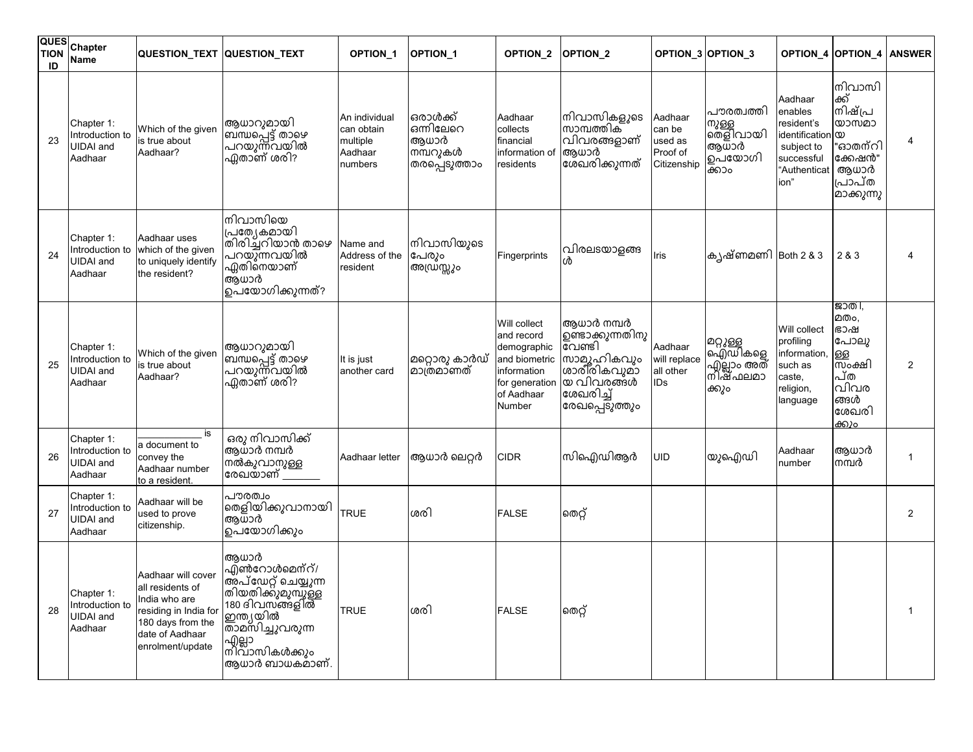| ID | QUES Chapter<br><b>Name</b>                                  | QUESTION_TEXT QUESTION_TEXT                                                                                                                  |                                                                                                             | OPTION_1                                                      | OPTION_1                                                   | OPTION_2                                                                                                            | OPTION <sub>2</sub>                                                                                                |                                                         | OPTION_3 OPTION_3                                          | OPTION_4                                                                                                        | OPTION_4                                                                                 | <b>ANSWER</b>  |
|----|--------------------------------------------------------------|----------------------------------------------------------------------------------------------------------------------------------------------|-------------------------------------------------------------------------------------------------------------|---------------------------------------------------------------|------------------------------------------------------------|---------------------------------------------------------------------------------------------------------------------|--------------------------------------------------------------------------------------------------------------------|---------------------------------------------------------|------------------------------------------------------------|-----------------------------------------------------------------------------------------------------------------|------------------------------------------------------------------------------------------|----------------|
| 23 | Chapter 1:<br>Introduction to<br><b>UIDAI</b> and<br>Aadhaar | Which of the given<br>is true about<br>Aadhaar?                                                                                              | ആധാറുമായി<br>ബ്ന്ധപ്പെട്ട് താഴെ<br>'പറയുന്ന്വയിൽ<br>ഏതാണ് ശരി?                                              | An individual<br>can obtain<br>multiple<br>Aadhaar<br>numbers | ഒരാൾക്ക്<br>ഒന്നിലേറെ<br>ആധാർ<br>നമ്പറുകൾ<br>തരപ്പെടുത്താം | Aadhaar<br>collects<br>financial<br>information of<br>residents                                                     | നിവാസികളുടെ<br>സാമ്പത്തിക്<br>വിവരങ്ങളാണ്<br>ആധാർ<br>ശേഖരിക്കുന്നത്                                                | Aadhaar<br>can be<br>used as<br>Proof of<br>Citizenship | പൗരത്വത്തി<br>നുള്ള<br>തെളിവായി<br>ആധാർ<br>ഉപയോഗി<br>ക്കാം | Aadhaar<br>enables<br>resident's<br>identification $\infty$<br>subject to<br>successful<br>"Authenticat<br>ion" | നിവാസി<br>ക്ക്<br>നിഷ്പ്ര<br>യാസമാ<br>"ഓതന്റി<br>ക്കേഷൻ"<br>ആധാർ<br>പ്രപ്ത<br>മാക്കുന്നു |                |
| 24 | Chapter 1:<br>Introduction to<br><b>UIDAI</b> and<br>Aadhaar | Aadhaar uses<br>which of the given<br>to uniquely identify<br>the resident?                                                                  | നിവാസിയെ<br>പ്രത്യേകമായി<br> തിരിച്ചറിയാൻ താഴെ<br>പറയുന്നവയിൽ<br>.<br>ഏതിനെയാണ്<br>ആധാർ<br>ഉപയോഗിക്കുന്നത്? | Name and<br>Address of the<br>resident                        | നിവാസിയുടെ<br>പേരും<br>അഡ്രസ്സും                           | Fingerprints                                                                                                        | വിരലടയാളങ്ങ<br>ൾ                                                                                                   | Iris                                                    | കൃഷ്ണമണി Both 2 & 3                                        |                                                                                                                 | 2 & 3                                                                                    |                |
| 25 | Chapter 1:<br>Introduction to<br><b>UIDAI</b> and<br>Aadhaar | Which of the given<br>is true about<br>Aadhaar?                                                                                              | ആധാറുമായി<br>ബ്ന്ധപ്പെട്ട് താഴെ<br>പറയുന്നവയിൽ<br><u>ഏ</u> താണ് ശരി?                                        | It is just<br>another card                                    | മറ്റൊരു കാർഡ്<br> മാത്രമാണത്                               | Will collect<br>and record<br>demographic<br>and biometric<br>information<br>for generation<br>of Aadhaar<br>Number | ആധാർ നമ്പർ<br>ഉണ്ടാക്കുന്നതിനു<br>വേണ്ടി<br>സാമൂഹികവും<br>ശാരീരികവുമാ<br>യ വിവരങ്ങൾ<br>ശേഖരിച്ച്<br>രേഖപ്പെടുത്തും | Aadhaar<br>will replace<br>all other<br><b>IDs</b>      | മറ്റുള്ള<br>ഐഡികളെ<br>എ്ലാം അത്<br>നിഷ്ഫലമാ<br>ക്കും       | Will collect<br>profiling<br>information,<br>such as<br>caste,<br>religion,<br>language                         | ജാതി,<br>മതം.<br>ഭാഷ<br>പോലു<br>ള്ള<br>സംക്ഷി<br>പ്ത<br>വിവര<br>ങ്ങൾ<br>ശേഖരി<br>ക്കും   | $\overline{2}$ |
| 26 | Chapter 1:<br>Introduction to<br><b>UIDAI</b> and<br>Aadhaar | is<br>a document to<br>convey the<br>Aadhaar number<br>to a resident.                                                                        | ഒരു നിവാസിക്ക്<br>ആധാർ നമ്പർ<br>നൽകുവാനുള്ള<br>രേഖയാണ് ____                                                 | Aadhaar letter                                                | ആധാർ ലെറ്റർ                                                | <b>CIDR</b>                                                                                                         | സിഐഡിആർ                                                                                                            | UID                                                     | യുഐഡി                                                      | Aadhaar<br>number                                                                                               | ആധാർ<br>നമ്പർ                                                                            |                |
| 27 | Chapter 1:<br>Introduction to<br><b>UIDAI</b> and<br>Aadhaar | Aadhaar will be<br>used to prove<br>citizenship.                                                                                             | പൗരത്വം<br>തെളിയിക്കുവാനായി<br>ആധാർ<br>൭പയോഗിക്കും                                                          | <b>TRUE</b>                                                   | ശരി                                                        | <b>FALSE</b>                                                                                                        | തെറ്റ്                                                                                                             |                                                         |                                                            |                                                                                                                 |                                                                                          | $\overline{2}$ |
| 28 | Chapter 1:<br>Introduction to<br><b>UIDAI</b> and<br>Aadhaar | Aadhaar will cover<br>all residents of<br>India who are<br>residing in India for<br>180 days from the<br>date of Aadhaar<br>enrolment/update | അധാർ<br>എൺറോൾമെന്റ്/<br>ഇന്ത്യയിൽ<br>താമസിച്ചുവരുന്ന<br> എല്ലാ —<br> നിവാസികൾക്കും<br>ആധാർ ബാധകമാണ്.        | <b>TRUE</b>                                                   | ശരി                                                        | <b>FALSE</b>                                                                                                        | തെറ്റ്                                                                                                             |                                                         |                                                            |                                                                                                                 |                                                                                          |                |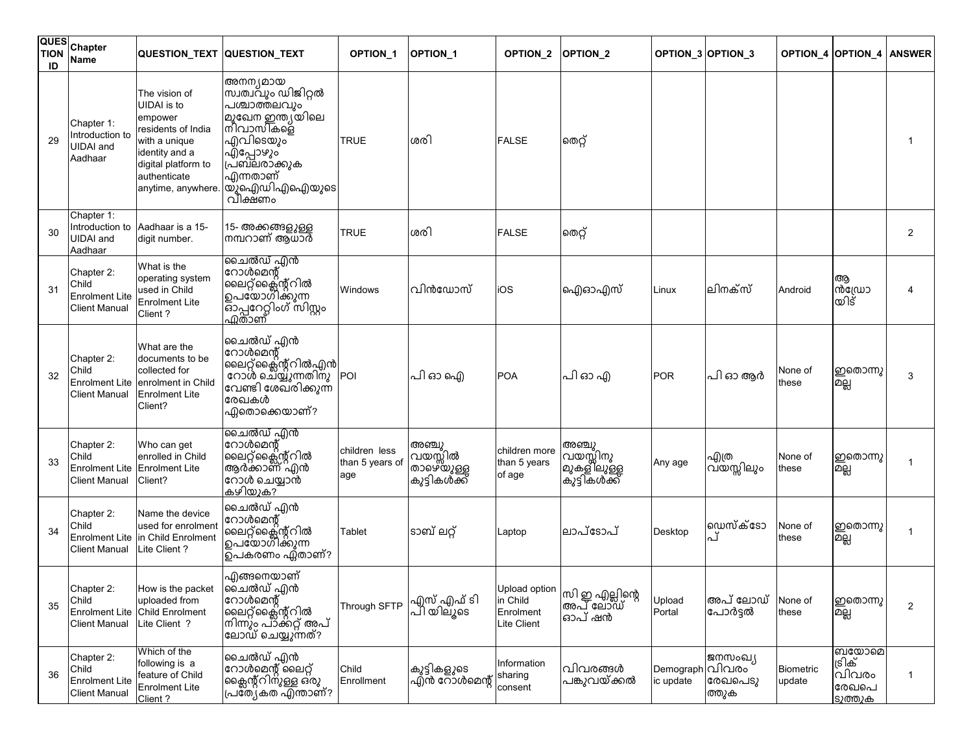| ID | QUES Chapter<br><b>Name</b>                                          |                                                                                                                                                                      | <b>QUESTION TEXT QUESTION TEXT</b>                                                                                                                             | OPTION_1                                | OPTION_1                                      | OPTION_2                                              | OPTION_2                                           |                              | OPTION_3 OPTION_3           | <b>OPTION 4 OPTION 4</b>   |                                              | <b>ANSWER</b>  |
|----|----------------------------------------------------------------------|----------------------------------------------------------------------------------------------------------------------------------------------------------------------|----------------------------------------------------------------------------------------------------------------------------------------------------------------|-----------------------------------------|-----------------------------------------------|-------------------------------------------------------|----------------------------------------------------|------------------------------|-----------------------------|----------------------------|----------------------------------------------|----------------|
| 29 | Chapter 1:<br>Introduction to<br><b>UIDAI</b> and<br>Aadhaar         | The vision of<br><b>UIDAI</b> is to<br>empower<br>residents of India<br>with a unique<br>identity and a<br>digital platform to<br>authenticate<br>anytime, anywhere. | അനന്യമായ<br>സ്വത്വവും ഡിജിറ്റൽ<br>പശ്ചാത്തലവും<br>മുഖേന ഇന്ത്യയിലെ<br>നിവാസികളെ<br>എവിടെയും<br>൶ഁപോഴും<br>പ്രബലരാക്കുക<br>എന്നതാണ്<br>യു്ഐഡിഎഐയുടെ<br> വീക്ഷണം | <b>TRUE</b>                             | ശരി                                           | <b>FALSE</b>                                          | തെറ്റ്                                             |                              |                             |                            |                                              |                |
| 30 | Chapter 1:<br>Introduction to<br><b>UIDAI</b> and<br>Aadhaar         | Aadhaar is a 15-<br>digit number.                                                                                                                                    | 15- അക്കങ്ങളുള്ള<br>നമ്പറാണ് ആധാർ                                                                                                                              | <b>TRUE</b>                             | ശരി                                           | <b>FALSE</b>                                          | തെറ്റ്                                             |                              |                             |                            |                                              | $\overline{2}$ |
| 31 | Chapter 2:<br>Child<br><b>Enrolment Lite</b><br><b>Client Manual</b> | What is the<br>operating system<br>used in Child<br><b>Enrolment Lite</b><br>Client?                                                                                 | ചൈൽഡ് എൻ<br>റോൾമെന്റ്<br>ലൈറ്റ്ക്ലൈന്റ്റിൽ<br> ഉപയോഗ്1്ക്കുന്ന<br> <br>ဆြဲ႕ျဧဂဌါတီ (၈)<br>ကြ <u>ူစာ</u> ၏                                                      | Windows                                 | വിൻഡോസ്                                       | iOS                                                   | ഐഓഎസ്                                              | Linux                        | ലിനക്സ്                     | Android                    | ആ<br>സ്ത്രോ<br>യിട്                          |                |
| 32 | Chapter 2:<br>Child<br><b>Enrolment Lite</b><br><b>Client Manual</b> | What are the<br>documents to be<br>collected for<br>enrolment in Child<br><b>Enrolment Lite</b><br>Client?                                                           | ചൈൽഡ് എൻ<br>റോൾമെന്റ്<br> ലൈറ്റ്ക്ലി്ലെറ്റ്റിൽഎൻ<br>  റോൾ ചെയ്യുന്നതിനു<br>വേണ്ടി ശേഖ്രിക്കുന്ന<br>രേഖകൾ<br>ഏതൊക്കെയാണ്?                                       | <b>POI</b>                              | പി ഓ ഐ                                        | <b>POA</b>                                            | പി ഓ എ                                             | <b>POR</b>                   | പി ഓ ആർ                     | None of<br>these           | ഇതൊന്നു<br>உவு                               | 3              |
| 33 | Chapter 2:<br>Child<br><b>Client Manual</b>                          | Who can get<br>enrolled in Child<br>Enrolment Lite Enrolment Lite<br>Client?                                                                                         | ചൈൽഡ് എൻ<br>റോൾമെന്റ്<br>ലൈറ്റ്ക്ലൈന്റ്റിൽ<br>ആർക്കാണ് 'എൻ<br>റോൾ ചെയ്യാൻ<br>കഴിയുക?                                                                           | children less<br>than 5 years of<br>age | അഞ്ചു<br>വയസ്സിൽ<br>താഴെയുള്ള<br>കുട്ടികൾക്ക് | children more<br>than 5 years<br>of age               | അഞ്ചു<br>വയസ്സിനു<br>മുകള് ലുള്ള<br>ക്ൂട്ടികശ്ക്ക് | Any age                      | എത്ര<br>വയസ്സിലും           | None of<br>these           | ഇതൊന്നു<br>മല്ല                              |                |
| 34 | Chapter 2:<br>Child<br><b>Enrolment Lite</b><br><b>Client Manual</b> | Name the device<br>used for enrolment<br>in Child Enrolment<br>Lite Client?                                                                                          | ചൈൽഡ് എൻ<br>റോൾമെന്റ്<br>'ലൈറ്റ്ക്ലൈന്റ്റിൽ<br> ഉപയോഗ്1ക്കുന്ന<br>ഉപകരണം ഏ്താണ്?                                                                               | Tablet                                  | ടാബ് ലറ്റ്                                    | Laptop                                                | ലാപ്ടോപ്                                           | Desktop                      | ഡെസ്ക്ടോ<br>പ്              | None of<br>these           | ഇതൊന്നു<br>உது                               |                |
| 35 | Chapter 2:<br>Child<br><b>Enrolment Lite</b><br><b>Client Manual</b> | How is the packet<br>uploaded from<br><b>Child Enrolment</b><br>Lite Client ?                                                                                        | എങ്ങനെയാണ്<br>മൈൽഡ് എൻ<br>റോൾമെന്റ്<br> ലൈറ്റ്ക്ലൈന്റ്റിൽ<br> നിന്നും പ്ാക്കറ്റ് അപ്<br>ലോഡ് ചെയ്യുന്നത്?                                                      | Through SFTP                            | എസ് എഫ് ടി<br>പ്ി യിലുടെ                      | Upload option<br>in Child<br>Enrolment<br>Lite Client | സി ഇ എല്ലിന്റെ<br>അപ്പോ്ഡ്<br>ഓപ് ഷൻ               | Upload<br>Portal             | അപ് ലോഡ്<br>പോർട്ടൽ         | None of<br>these           | ഇതൊന്നു<br>உவு                               | $\overline{c}$ |
| 36 | Chapter 2:<br>Child<br><b>Enrolment Lite</b><br><b>Client Manual</b> | Which of the<br>following is a<br>feature of Child<br><b>Enrolment Lite</b><br>Client ?                                                                              | ചൈൽഡ് <u>എ</u> ൻ<br>റോൾമെന്റ് ലൈറ്റ്<br> ക്ലൈന്റ്റിന്ുള്ള ഒ്രു<br> പ്രത്വ്കത എ്ന്താണ്?                                                                         | Child<br>Enrollment                     | കുട്ടികളുടെ<br>എ്ൻ റോൾമെന്റ്                  | Information<br>sharing<br>consent                     | വിവരങ്ങൾ<br>പങ്കുവയ്ക്കൽ                           | Demograph വിവരം<br>ic update | ജനസംഖ്യ<br>രേഖപെടു<br>ത്തുക | <b>Biometric</b><br>update | ബയോമെ<br>ട്രിക്<br>വിവരം<br>രേഖപെ<br>ടാത്താക | 1              |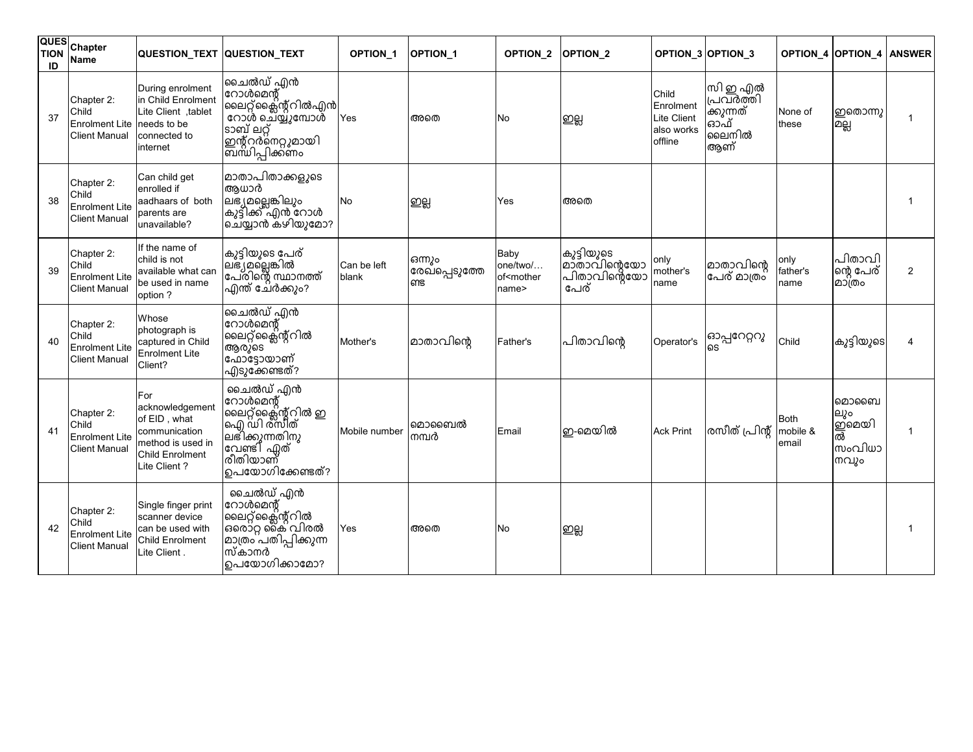| <b>QUES</b><br><b>TION</b><br>ID | Chapter<br><b>Name</b>                                                    | QUESTION_TEXT QUESTION_TEXT                                                                                     |                                                                                                                                    | OPTION_1             | <b>OPTION 1</b>                 | OPTION_2                                               | <b>OPTION 2</b>                                     |                                                                   | OPTION_3 OPTION_3                                       |                           | OPTION_4 OPTION_4                            | <b>ANSWER</b>  |
|----------------------------------|---------------------------------------------------------------------------|-----------------------------------------------------------------------------------------------------------------|------------------------------------------------------------------------------------------------------------------------------------|----------------------|---------------------------------|--------------------------------------------------------|-----------------------------------------------------|-------------------------------------------------------------------|---------------------------------------------------------|---------------------------|----------------------------------------------|----------------|
| 37                               | Chapter 2:<br>Child<br>Enrolment Lite needs to be<br><b>Client Manual</b> | During enrolment<br>in Child Enrolment<br>Lite Client .tablet<br>connected to<br>internet                       | ചൈൽഡ് എൻ<br> റോൾമെന്റ്<br>ലൈറ്റ്ക്ലൈന്റ്റിൽഎൻ<br>റോൾ ചെ്യ്യൂമ്പോശ്<br>ടാബ് ലറ്റ്<br>ഇന്റ്റർനെറ്റുമായി<br>ഩ൘ഀഺഽൔൎഩഩഁ൦               | Yes                  | അതെ                             | No                                                     | இது                                                 | Child<br>Enrolment<br><b>Lite Client</b><br>also works<br>offline | സി ഇ എൽ<br>പവർത്തി<br>ക്കുന്നത്<br>ഓ്ഫ്<br>ലൈനിൽ<br>ആണ് | None of<br>these          | ഇതൊന്നു<br>മല്ല                              |                |
| 38                               | Chapter 2:<br>Child<br><b>Enrolment Lite</b><br><b>Client Manual</b>      | Can child get<br>enrolled if<br>aadhaars of both<br>parents are<br>unavailable?                                 | മാതാപിതാക്കളുടെ<br>ആധാർ<br> ലഭ്യമല്ലെങ്കിലും<br> കുട്ടിക്ക് എൻ റോൾ<br> ചെയ്യാൻ കഴിയുമോ?                                            | No                   | ஜ                               | Yes                                                    | അതെ                                                 |                                                                   |                                                         |                           |                                              |                |
| 39                               | Chapter 2:<br>Child<br><b>Enrolment Lite</b><br><b>Client Manual</b>      | If the name of<br>child is not<br>available what can<br>be used in name<br>option ?                             | കുട്ടിയുടെ പേര്<br>.<br>ലഭ്യമല്ലെങ്കിൽ<br>പേരിന്റെ സ്ഥാനത്ത്<br>എന്ത് ചേരക്കും?                                                    | Can be left<br>blank | ഒന്നും<br>രേഖ്പ്പെടുത്തേ<br>ണ്ട | Baby<br>one/two/<br>of <mother<br>name&gt;</mother<br> | കുട്ടിയുടെ<br>മാ്താവിന്റെയോ<br>പിതാവിന്റെയോ<br>പേര് | only<br>mother's<br>name                                          | മാതാവിന്റെ<br>പേര് മാത്രം                               | only<br>father's<br>name  | പിതാവി<br>ന്റെ പേര്<br>മാത്രം                | $\overline{2}$ |
| 40                               | Chapter 2:<br>Child<br><b>Enrolment Lite</b><br><b>Client Manual</b>      | Whose<br>photograph is<br>captured in Child<br><b>Enrolment Lite</b><br>Client?                                 | ചൈൽഡ് എൻ<br>റോൾമെന്റ്<br>ലൈറ്റ്ക്ലൈന്റ്റിൽ<br>ആരുടെ<br>ഫോട്ടോയാണ്<br>എടുക്കേണ്ടത്?                                                 | Mother's             | മാതാവിന്റെ                      | Father's                                               | പിതാവിന്റെ                                          | Operator's                                                        | ഓപ്പറേറ്ററു                                             | Child                     | കുട്ടിയുടെ                                   |                |
| 41                               | Chapter 2:<br>Child<br><b>Enrolment Lite</b><br><b>Client Manual</b>      | For<br>acknowledgement<br>of EID, what<br>communication<br>method is used in<br>Child Enrolment<br>Lite Client? | ചൈൽഡ് എൻ<br>റോൾമെന്റ്<br> ലൈറ്റ്ക്ലെക്സ്റ്റ്റിൽ ഇ<br> ഐ ഡി ര്സിത്<br> ലഭിക്കുന്നതിനു<br>വേണ്ടി ഏത്<br>രീതിയാണ്<br>ഉപയോഗിക്കേണ്ടത്? | Mobile number        | മൊബൈൽ<br>നമ്പർ                  | Email                                                  | ഇ-മെയിൽ                                             | <b>Ack Print</b>                                                  | രസീത് പ്രിന്റ്                                          | Both<br>mobile &<br>email | മൊബൈ<br>ലും<br> ഇമെയി<br>ൽ<br>സംവിധാ<br>നവും |                |
| 42                               | Chapter 2:<br>Child<br><b>Enrolment Lite</b><br><b>Client Manual</b>      | Single finger print<br>scanner device<br>can be used with<br><b>Child Enrolment</b><br>Lite Client.             | ചൈൽഡ് എൻ<br>റോൾമെന്റ്<br> ലൈറ്റ്ക്ലൈന്റ്റിൽ<br>ഒരൊ്റ്റ കൈ വിരൽ<br> മാത്രം`പതിപ്പിക്കുന്ന<br>സ്കാനർ<br>ഉപയോഗിക്കാമോ?                | Yes                  | അതെ                             | No                                                     | ഇല്ല                                                |                                                                   |                                                         |                           |                                              |                |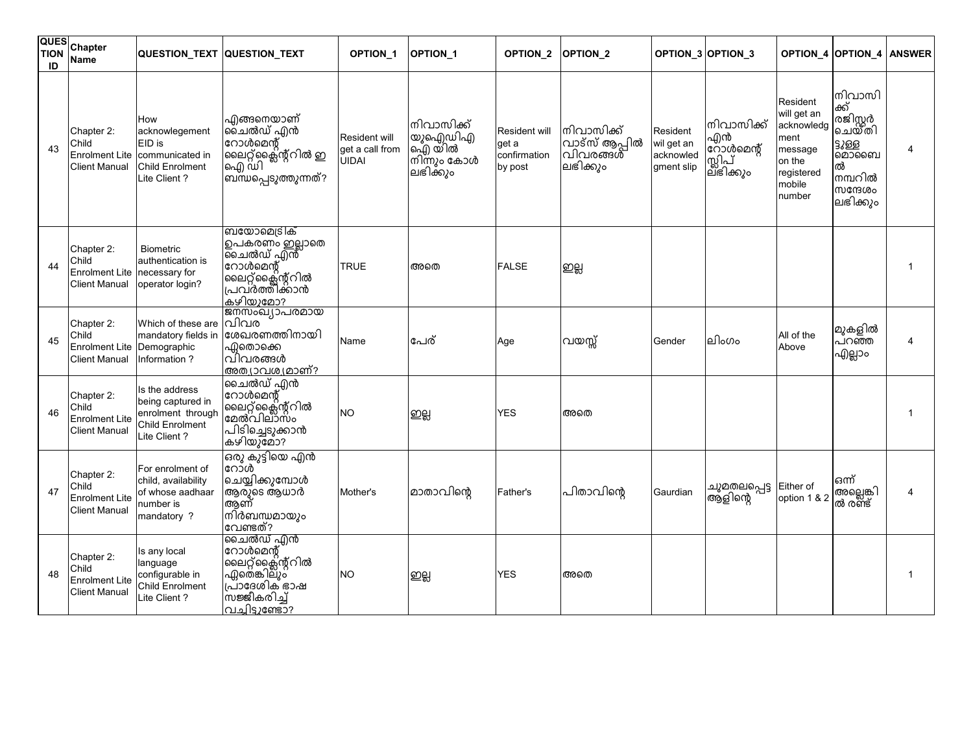| QUES<br><b>TION</b><br>ID | Chapter<br><b>Name</b>                                               | QUESTION_TEXT QUESTION_TEXT                                                                 |                                                                                                                                 | OPTION_1                                  | OPTION <sub>1</sub>                                          | OPTION_2                                          | OPTION <sub>2</sub>                                 |                                                   | OPTION_3 OPTION_3                                 |                                                                                                      | <b>OPTION_4 OPTION_4 ANSWER</b>                                                              |   |
|---------------------------|----------------------------------------------------------------------|---------------------------------------------------------------------------------------------|---------------------------------------------------------------------------------------------------------------------------------|-------------------------------------------|--------------------------------------------------------------|---------------------------------------------------|-----------------------------------------------------|---------------------------------------------------|---------------------------------------------------|------------------------------------------------------------------------------------------------------|----------------------------------------------------------------------------------------------|---|
| 43                        | Chapter 2:<br>Child<br><b>Enrolment Lite</b><br><b>Client Manual</b> | How<br>acknowlegement<br>EID is<br>communicated in<br>Child Enrolment<br>Lite Client?       | എങ്ങനെയാണ്<br> ലൈൽഡ് <u>എ</u> ൻ<br>റോൾമെന്റ്<br> ലൈറ്റ്ക്ലെക്സ്റ്റിൽ ഇ<br>ഐ ഡി<br>ബന്ധപ്പെടുത്തുന്നത്?                          | Resident will<br>get a call from<br>UIDAI | നിവാസിക്ക്<br>യുഐഡിഎ<br>ഐ്) യ്ിൽ<br>നിന്നും കോൾ<br>∣ലഭിക്കും | Resident will<br>get a<br>confirmation<br>by post | നിവാസിക്ക്<br>വാട്സ് ആപ്പിൽ<br>വിവരങ്ങൾ<br>ലഭിക്കും | Resident<br>wil get an<br>acknowled<br>gment slip | നിവാസിക്ക്<br>എൻ<br>റോൾമെന്റ്<br>സിപ്<br>ലഭിക്കും | Resident<br>will get an<br>acknowledg<br>ment<br>message<br>on the<br>registered<br>mobile<br>number | നിവാസി<br>ക്ക്<br>രജിസ്റ്റർ<br>ചെയ്തി<br>3868<br>മൊബൈ<br>ൽ<br>നമ്പറിൽ<br>സന്ദേശം<br>ലഭിക്കും | 4 |
| 44                        | Chapter 2:<br>Child<br><b>Enrolment Lite</b><br><b>Client Manual</b> | Biometric<br>authentication is<br>necessary for<br>operator login?                          | ബയോമെട്രിക്<br>ഉപകരണം ഇല്ലാതെ<br>ചൈൽഡ് എൻ്<br>റോൾമെന്റ്<br>ലൈറ്റ്ക്ലൈന്റ്റിൽ<br>പ്രവർത്തിക്കാൻ<br><u>കഴിയുമോ?</u>               | TRUE                                      | അതെ                                                          | <b>FALSE</b>                                      | ഇല്ല                                                |                                                   |                                                   |                                                                                                      |                                                                                              |   |
| 45                        | Chapter 2:<br>Child<br><b>Enrolment Lite</b><br><b>Client Manual</b> | Which of these are<br>mandatory fields in<br>Demographic<br>Information?                    | ജനസംഖ്യാപരമായ<br>വിവര<br>ശേഖരണത്തിനായി<br>ഫിതൊക്കെ<br>വിവരങ്ങൾ<br>അത്യാവശ്യമാണ്?                                                | Name                                      | പേര്                                                         | Age                                               | വയസ്സ്                                              | Gender                                            | ലിംഗം                                             | All of the<br>Above                                                                                  | മുകളിൽ<br>പറഞ്ഞ<br>എല്ലാം                                                                    | 4 |
| 46                        | Chapter 2:<br>Child<br><b>Enrolment Lite</b><br><b>Client Manual</b> | Is the address<br>being captured in<br>enrolment through<br>Child Enrolment<br>Lite Client? | ചൈൽഡ് എൻ<br>റോൾമെന്റ്<br>ലൈറ്റ്ക്ലൈന്റ്റിൽ<br>മേൽവില്ാസം<br>പിടിച്ചെടുക്കാൻ<br>കഴിയുമോ?                                         | <b>NO</b>                                 | ഇല്ല                                                         | YES                                               | അതെ                                                 |                                                   |                                                   |                                                                                                      |                                                                                              |   |
| 47                        | Chapter 2:<br>Child<br><b>Enrolment Lite</b><br><b>Client Manual</b> | For enrolment of<br>child, availability<br>of whose aadhaar<br>number is<br>mandatory ?     | ഒരു കുട്ടിയെ എൻ<br>റോൾ<br> ചെയ്യിക്കുമ്പോൾ<br>ആരുടെ ആധാർ<br>അണ്<br>നിർബന്ധമായും<br>വേണ്ടത്?                                     | Mother's                                  | മാതാവിന്റെ                                                   | Father's                                          | പിതാവിന്റെ                                          | Gaurdian                                          | ചുമതലപ്പെട്ട<br>ആ്ളിന്റെ                          | Either of<br>option 1 & 2                                                                            | ഒന്ന്<br> അല്ലെങ്കി<br> ൽ രണ്ട്                                                              | 4 |
| 48                        | Chapter 2:<br>Child<br><b>Enrolment Lite</b><br><b>Client Manual</b> | Is any local<br>language<br>configurable in<br>Child Enrolment<br>Lite Client?              | ചൈൽഡ് എൻ<br>റോൾമെന്റ്<br>ലൈറ്റ്ക്ലൈന്റ്റിൽ<br>ഏത്െ <b>കിലൂ</b> ്<br>പ്രാദേശിക് ഭാഷ<br> <br>സജ്ജീകരിച്ച്<br>ပြုပါများ (မေးမေးမေး | <b>NO</b>                                 | ஜ்                                                           | <b>YES</b>                                        | അതെ                                                 |                                                   |                                                   |                                                                                                      |                                                                                              |   |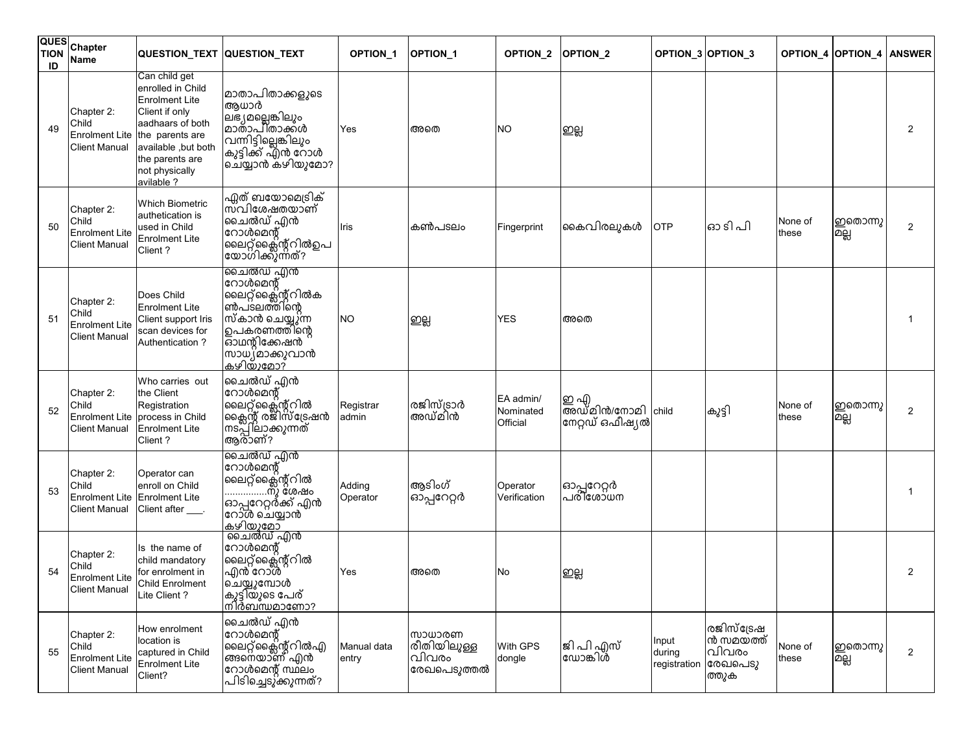| <b>QUES</b><br><b>TION</b><br>ID | Chapter<br>Name                                                      |                                                                                                                                                                                                | QUESTION_TEXT QUESTION_TEXT                                                                                                                     | OPTION_1             | OPTION <sub>1</sub>                           | OPTION_2                           | <b>OPTION 2</b>                             |                                 | OPTION_3 OPTION_3                                    |                  | <b>OPTION 4 OPTION 4</b> | <b>ANSWER</b>  |
|----------------------------------|----------------------------------------------------------------------|------------------------------------------------------------------------------------------------------------------------------------------------------------------------------------------------|-------------------------------------------------------------------------------------------------------------------------------------------------|----------------------|-----------------------------------------------|------------------------------------|---------------------------------------------|---------------------------------|------------------------------------------------------|------------------|--------------------------|----------------|
| 49                               | Chapter 2:<br>Child<br><b>Enrolment Lite</b><br>Client Manual        | Can child get<br>enrolled in Child<br><b>Enrolment Lite</b><br>Client if only<br>aadhaars of both<br>the parents are<br>available, but both<br>the parents are<br>not physically<br>avilable ? | മാതാപിതാക്കളുടെ<br>ആധാർ<br> ലഭ്യമല്ലെങ്കിലും<br> മാതാപിതാക്കൾ<br>വന്നിട്ടില്ലെങ്കിലും<br>കുട്ടിക്ക് എൻ റോൾ<br>ചെയ്യാൻ കഴിയുമോ?                  | Yes                  | അതെ                                           | <b>NO</b>                          | ഇല്ല                                        |                                 |                                                      |                  |                          | 2              |
| 50                               | Chapter 2:<br>Child<br><b>Enrolment Lite</b><br>Client Manual        | <b>Which Biometric</b><br>authetication is<br>used in Child<br><b>Enrolment Lite</b><br>Client?                                                                                                | ഫ്ലത് ബയോമെട്രിക്<br>സ്വിശേഷതയാണ്<br> ചൈൽഡ് എൻ<br>റോൾമെന്റ്<br> ലൈറ്റ്ക്ലൈന്റ്റിൽഉപ<br> യോഗിക്കുന്നത്?                                          | Iris                 | കൺപടലം                                        | Fingerprint                        | കൈവിരലുകൾ                                   | <b>OTP</b>                      | ഓ ടി പി                                              | None of<br>these | ഇതൊന്നു<br>உ்            | 2              |
| 51                               | Chapter 2:<br>Child<br>Enrolment Lite<br>Client Manual               | Does Child<br><b>Enrolment Lite</b><br>Client support Iris<br>scan devices for<br>Authentication?                                                                                              | ചൈൽഡ് എൻ<br>റോൾമെന്റ്<br> ലൈറ്റ്ക്ലൈന്റ്റിൽക<br>ൺപ്ടലത്തിന്റെ<br>സ്കാൻ ചെയ്യുന്ന<br>ഉപകരണത്തിന്റെ<br>ഓഥന്റിക്കേഷൻ<br>സാധ്യമാക്കുവാൻ<br>കഴിയുമോ? | <b>NO</b>            | ഇല്ല                                          | <b>YES</b>                         | അതെ                                         |                                 |                                                      |                  |                          |                |
| 52                               | Chapter 2:<br>Child<br><b>Enrolment Lite</b><br>Client Manual        | Who carries out<br>the Client<br>Registration<br>process in Child<br>Enrolment Lite<br>Client?                                                                                                 | ചൈൽഡ് എൻ<br> റോൾമെന്റ്<br>ലൈറ്റ് ക്ലൈന്റ് റിൽ<br> ക്ലൈന്റ് രജിസ്ട്രേഷൻ<br>നടപ്പിലാക്കുന്നത്<br>ആര്ാണ്?                                          | Registrar<br>admin   | രജിസ്ട്രാർ<br>അഡ്മിൻ                          | EA admin/<br>Nominated<br>Official | ഇ എ<br>അഡ്മിൻ/നോമി child<br>നേറ്റഡ് ഒഫീഷ്യൽ |                                 | കുട്ടി                                               | None of<br>these | ഇതൊന്നു<br>உவு           | $\overline{2}$ |
| 53                               | Chapter 2:<br>Child<br>Enrolment Lite<br>Client Manual               | Operator can<br>enroll on Child<br><b>Enrolment Lite</b><br>Client after ____.                                                                                                                 | ചൈൽഡ് എൻ<br> റോൾമെന്റ്<br>ലൈറ്റ്ക്ലൈന്റ്റിൽ<br>……………നു ശേഷം<br> ഓപ്പറേറ്റർക്ക് എൻ<br>നോശ ചെയ്യാൻ                                                | Adding<br>Operator   | ആടിംഗ്<br>ഓപ്പറേറ്റർ                          | Operator<br>Verification           | ഓപ്പറേറ്റർ<br> പരിശോധന                      |                                 |                                                      |                  |                          |                |
| 54                               | Chapter 2:<br>Child<br><b>Enrolment Lite</b><br><b>Client Manual</b> | Is the name of<br>child mandatory<br>for enrolment in<br>Child Enrolment<br>Lite Client?                                                                                                       | റോൾമെന്റ്<br>'ലൈറ്റ്ക്ലൈന്റ്റിൽ<br>എൻ്റോൽ<br> ചെയ്യുമ്പോൾ<br> കുട്ടിയുടെ പേര്<br><u>നിർബന്ധമാണോ?</u>                                            | Yes                  | അതെ                                           | No                                 | ஜ                                           |                                 |                                                      |                  |                          | 2              |
| 55                               | Chapter 2:<br>Child<br><b>Enrolment Lite</b><br><b>Client Manual</b> | How enrolment<br>location is<br>captured in Child<br>Enrolment Lite<br>Client?                                                                                                                 | ചൈൽഡ് എൻ<br>റോൾമെന്റ്<br>ലൈറ്റ്ക്ലൈന്റ്റിൽഎ<br>അനെയാണ് എൻ<br>റോൾമെന്റ് സ്ഥലം<br>പിടിച്ചെടു്ക്കുന്നത്?                                           | Manual data<br>entry | സാധാരണ<br>രീതിയിലുള്ള<br>വിവരം<br>രേഖപെടുത്തൽ | With GPS<br>dongle                 | ജിപിഎസ്<br>ഡോങ്കിൾ്                         | Input<br>during<br>registration | രജിസ്ട്രേഷ<br>ൻ സമയത്ത്<br>വിവരം<br>രേഖപെടു<br>ത്തുക | None of<br>hese: | ഇതൊന്നു<br>உலு           | $\overline{2}$ |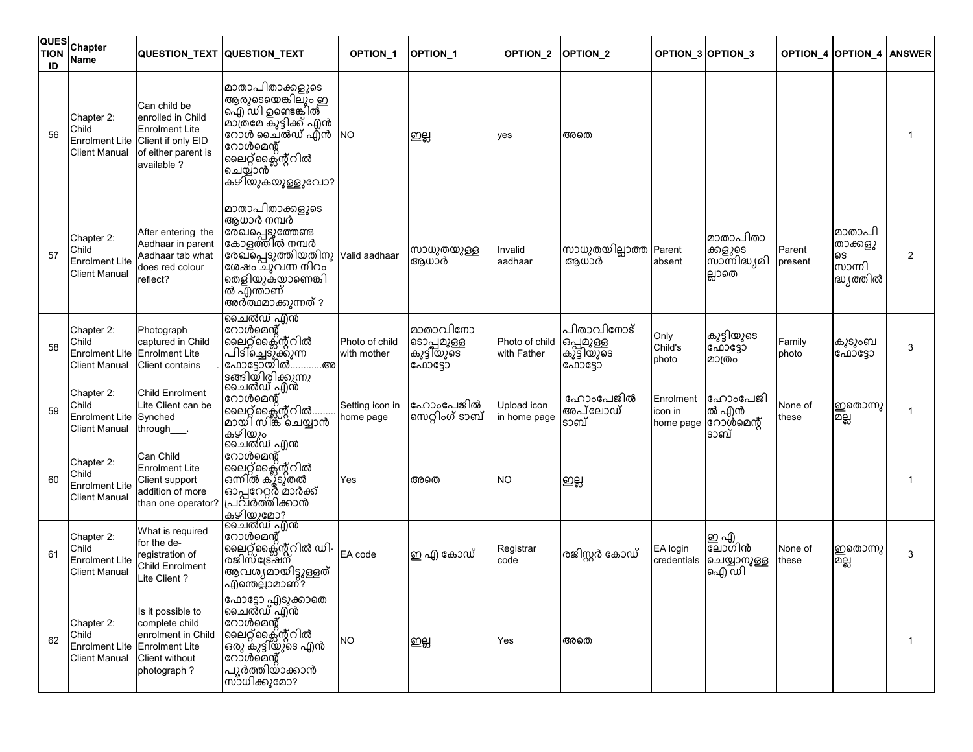| QUES<br><b>TION</b><br>ID | Chapter<br><b>Name</b>                                                       | <b>QUESTION TEXT QUESTION TEXT</b>                                                                                     |                                                                                                                                                                         | <b>OPTION 1</b>               | <b>OPTION 1</b>                                | <b>OPTION 2</b>               | <b>OPTION 2</b>                                   |                                  | OPTION_3 OPTION_3                              | <b>OPTION 4</b>   | <b>OPTION 4</b>                                 | <b>ANSWER</b>  |
|---------------------------|------------------------------------------------------------------------------|------------------------------------------------------------------------------------------------------------------------|-------------------------------------------------------------------------------------------------------------------------------------------------------------------------|-------------------------------|------------------------------------------------|-------------------------------|---------------------------------------------------|----------------------------------|------------------------------------------------|-------------------|-------------------------------------------------|----------------|
| 56                        | Chapter 2:<br>Child<br><b>Enrolment Lite</b><br><b>Client Manual</b>         | Can child be<br>enrolled in Child<br><b>Enrolment Lite</b><br>Client if only EID<br>of either parent is<br>available ? | മാതാപിതാക്കളുടെ<br>ആരുടെയെങ്കിലും ഇ<br>ഐ ്ഡി ഉണ്ടെങ്കിൽ<br> മാത്രമേ കുട്ടിക്ക് എൻ<br>റോൾ ചൈൽഡ് എൻ<br>റോൾമെന്റ്<br>ലൈറ്റ്ക്ലൈന്റ്റിൽ<br>ചെയ്യാൻ<br>കഴിയുകയുള്ളുവോ?       | <b>NO</b>                     | ഇല്ല                                           | yes                           | അതെ                                               |                                  |                                                |                   |                                                 |                |
| 57                        | Chapter 2:<br>Child<br><b>Enrolment Lite</b><br><b>Client Manual</b>         | After entering the<br>Aadhaar in parent<br>Aadhaar tab what<br>does red colour<br>reflect?                             | മാതാപിതാക്കളുടെ<br>ആധാർ നമ്പർ<br>രേഖപ്പെട്ടുത്തേണ്ട<br>കോളത്തിൽ നമ്പർ<br>രേഖ്പ്പെടുത്തിയതിനു<br>ശേഷം ചു്വന്ന നിറം<br>രെളിയുകയാണെങ്കി<br>ൽ എന്താണ്<br>അർത്ഥമാക്കുന്നത് ? | Valid aadhaar                 | സാധുതയുള്ള<br>ആധാർ                             | nvalid<br>aadhaar             | സാധുതയില്ലാത്ത Parent<br>ആധാർ                     | absent                           | മാതാപിതാ<br>ക്കളുടെ<br>സാന്നിദ്ധ്യമി<br>ല്ലാതെ | Parent<br>present | മാതാപി<br>താക്കളു<br>ടെ<br>സാന്നി<br>ദ്ധ്യത്തിൽ | $\overline{2}$ |
| 58                        | Chapter 2:<br>Child<br><b>Enrolment Lite</b><br><b>Client Manual</b>         | Photograph<br>captured in Child<br><b>Enrolment Lite</b><br>Client contains                                            | ചൈൽഡ് എൻ<br>റോൾമെന്റ്<br> ലൈറ്റ്ക്ലൈന്റ്റിൽ<br>പിടി'ച്ചെടു്ക്റുന്ന<br>'ഫോട്ടോയിൽഅ<br>  <u>ടങ്ങിയിരിക്കുന്നു</u>                                                         | Photo of child<br>with mother | മാതാവിനോ<br>ടൊപ്പമുള്ള<br>ൖുട്ടിയുടെ<br>ഫോട്ടോ | Photo of child<br>with Father | പിതാവിനോട്<br> ഒപ്പമുള്ള<br> കുട്ടിയുടെ<br>ഫോട്ടോ | Only<br>Child's<br>photo         | കുട്ടിയുടെ<br>ഫോട്ടോ<br>മാത്രം                 | Family<br>photo   | കുടുംബ<br>ഫോട്ടോ                                | 3              |
| 59                        | Chapter 2:<br>Child<br><b>Enrolment Lite</b><br><b>Client Manual</b>         | Child Enrolment<br>Lite Client can be<br>Synched<br>through___.                                                        | ചൈൽഡ് എൻ<br>റോൾമെന്റ്<br> ലൈറ്റ്ക്ലൈന്റ്റിൽ<br> മായി സിങ്ക് ചെയ്യാൻ<br>കഴിയും                                                                                           | Setting icon in<br>home page  | ഹോംപേജിൽ<br>സെറ്റിംഗ് ടാബ്                     | Jpload icon<br>in home page   | ഫോംപേജിൽ<br>അപ്ലോഡ്<br>ടാബ്                       | Enrolment<br>con in<br>home page | ഹോംപേജി<br>ൽ എൻ<br>റോൾമെന്റ്<br>ടാബ്           | None of<br>these  | ഇതൊന്നു<br>உ்                                   |                |
| 60                        | Chapter 2:<br>Child<br><b>Enrolment Lite</b><br><b>Client Manual</b>         | Can Child<br>Enrolment Lite<br>Client support<br>addition of more<br>than one operator?                                | ചൈൽഡ് എൻ<br>റോൾമെന്റ്<br>ിലൈറ്റ്ക്ലൈന്റ്റിൽ<br>ഒന്നിൽ കുു്ടുതൽ<br> ഓപ്പറേറ്റർ മാർക്ക്<br> പ്രവർത്തിക്കാൻ<br>കഴിയുമോ?                                                    | Yes                           | അതെ                                            | ΝO                            | ഇല്ല                                              |                                  |                                                |                   |                                                 |                |
| 61                        | Chapter 2:<br>Child<br><b>Enrolment Lite</b><br><b>Client Manual</b>         | What is required<br>for the de-<br>registration of<br><b>Child Enrolment</b><br>Lite Client?                           | ചൈൽഡ് എൻ<br>റോൾമെന്റ്<br> ലൈറ്റ്ക്ലൈന്റ്റിൽ ഡി-<br> രജിസ്ട്രേഷന്<br>ആവശ്യമായിട്ടുള്ളത്<br>ഫിന്തെല്ലാമാണ്?                                                               | EA code                       | ഇ എ കോഡ്                                       | Registrar<br>code             | രജിസ്റ്റർ കോഡ്                                    | EA login<br>credentials          | ഇ എ<br>ബ്രാഗിൻ<br>ചെയ്യാനുള്ള<br>ഐ ഡി          | None of<br>these  | ഇതൊന്നു<br>മല്ല                                 | 3              |
| 62                        | Chapter 2:<br>Child<br>Enrolment Lite Enrolment Lite<br><b>Client Manual</b> | Is it possible to<br>complete child<br>enrolment in Child<br>Client without<br>photograph?                             | ഫോട്ടോ എടുക്കാതെ<br> ചൈൽഡ് എൻ<br>റോൾമെന്റ്<br> ലൈറ്റ്ക്ലൈന്റ്റിൽ<br> ഒരു കുട്ടിയുടെ എൻ<br> റോൾമെന്റ്<br>പൂർത്തിയാക്കാൻ<br>സാധിക്കുമോ?                                   | ΝO                            | ஜ                                              | Yes                           | അതെ                                               |                                  |                                                |                   |                                                 |                |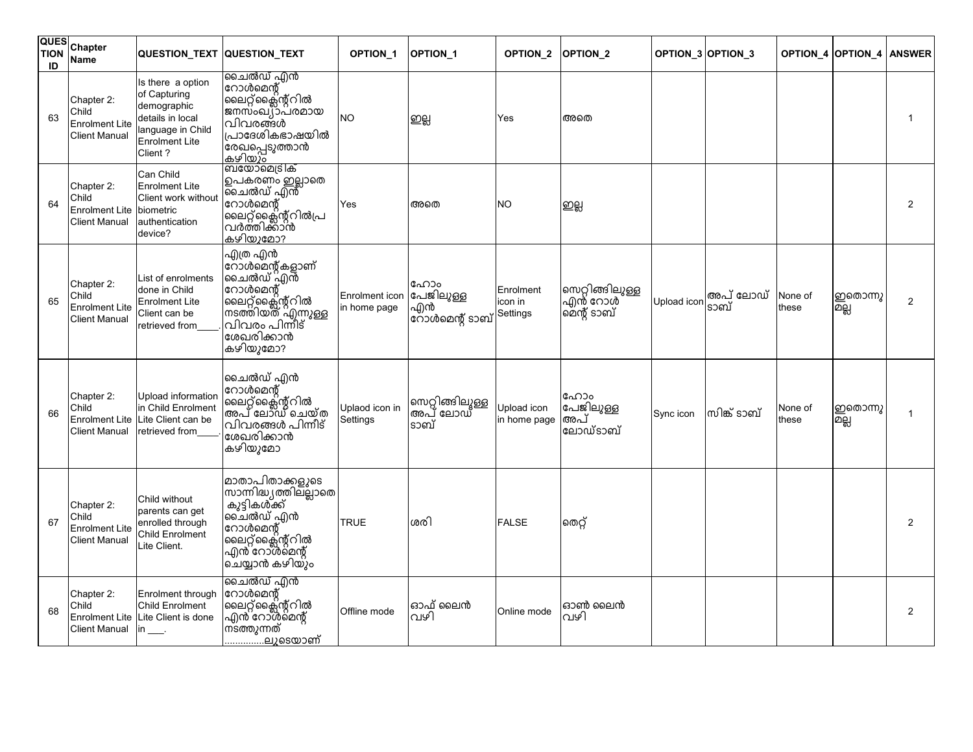| QUES<br><b>TION</b><br>ID | <b>Chapter</b><br><b>Name</b>                                        |                                                                                                                                | QUESTION_TEXT QUESTION_TEXT                                                                                                                 | OPTION_1                                  | <b>OPTION 1</b>                      | <b>OPTION 2</b>                  | <b>OPTION 2</b>                           |             | OPTION_3 OPTION_3 |                  | <b>OPTION 4 OPTION 4</b> | <b>ANSWER</b>  |
|---------------------------|----------------------------------------------------------------------|--------------------------------------------------------------------------------------------------------------------------------|---------------------------------------------------------------------------------------------------------------------------------------------|-------------------------------------------|--------------------------------------|----------------------------------|-------------------------------------------|-------------|-------------------|------------------|--------------------------|----------------|
| 63                        | Chapter 2:<br>Child<br><b>Enrolment Lite</b><br><b>Client Manual</b> | Is there a option<br>of Capturing<br>demographic<br>details in local<br>language in Child<br><b>Enrolment Lite</b><br>Client ? | ചൈൽഡ് എൻ<br>റോൾമെന്റ്<br>ലൈറ്റ്ക്ലൈന്റ്റിൽ<br> ജനസ്ംഖ്യാപ്രമായ<br>വിവരങ്ങൾ<br>പ്രാദേശികഭാഷയിൽ<br>രേഖപ്പെടുത്താൻ<br>കഴിയും                   | <b>NO</b>                                 | ஜ                                    | Yes                              | അതെ                                       |             |                   |                  |                          |                |
| 64                        | Chapter 2:<br>Child<br><b>Enrolment Lite</b><br><b>Client Manual</b> | Can Child<br><b>Enrolment Lite</b><br>Client work without<br>biometric<br>authentication<br>device?                            | ബയോമെട്രിക്<br>ഉപകരണം ഇല്ലാതെ<br> പൈൽഡ് എൻ്<br>റോൾമെന്റ്<br> ലൈറ്റ്ക്ലൈന്റ്റിൽപ്ര<br> വർത്തിക്കാൻ<br>കഴിയുമോ?                               | Yes                                       | അതെ                                  | NO.                              | ஜ்                                        |             |                   |                  |                          | 2              |
| 65                        | Chapter 2:<br>Child<br><b>Enrolment Lite</b><br><b>Client Manual</b> | List of enrolments<br>done in Child<br><b>Enrolment Lite</b><br>Client can be<br>retrieved from                                | എത്ര എൻ<br>നോൾമെന്റ്കളാണ്<br>ചൈൽഡ് എൻ<br>റോൾമെന്റ്<br>്ലൈറ്റ്സൈന്റ്റിൽ<br>നടത്തിയത് എന്നുള്ള<br>വിവരം പിന്നീട്<br>ശേഖരിക്കാൻ<br>കഴിയുമോ?    | Enrolment icon  പേജിലുള്ള<br>in home page | ഹോം<br>എൻ<br>റോൾമെന്റ് ടാബ്          | Enrolment<br>icon in<br>Settings | സെറ്റിങ്ങിലുള്ള<br>എന് റോൾ<br>മെന്റ് ടാബ് | Upload icon | അപ് ലോഡ്<br>ടാബ്  | None of<br>these | ഇതൊന്നു<br>മല്ല          | $\overline{2}$ |
| 66                        | Chapter 2:<br>Child<br><b>Client Manual</b>                          | Upload information<br>in Child Enrolment<br>Enrolment Lite Lite Client can be<br>retrieved from                                | ചൈൽഡ് എൻ<br>റോൾമെന്റ്<br>ലൈറ്റ്ക്ലൈന്റ്റിൽ<br>അപ് ലോഡ് ചെയ്ത<br>വിവരങ്ങൾ പിന്നീട്<br>ശേഖരിക്കാൻ<br>കഴിയുമോ                                  | Uplaod icon in<br>Settings                | സെറ്റിങ്ങിലുള്ള<br> അപ് ലോഡ്<br>ടാബ് | Upload icon<br>in home page      | ഫോം<br>പേജിലുള്ള<br>അപ്<br>ലോഡ്ടാബ്       | Sync icon   | സിങ്ക് ടാബ്       | None of<br>these | ഇതൊന്നു<br>உவு           | 1              |
| 67                        | Chapter 2:<br>Child<br><b>Enrolment Lite</b><br><b>Client Manual</b> | Child without<br>parents can get<br>enrolled through<br><b>Child Enrolment</b><br>Lite Client.                                 | മാതാപിതാക്കളുടെ<br>lസാന്നിദ്ധ്യത്തില്ലാതെ<br>കൂട്ടികൾ്ക്ക്<br>ചൈൽഡ് എൻ<br>റോൾമെന്റ്<br> ലൈറ്റ്ക്ലൈന്റ്റിൽ<br>എൻ്റോൾമെന്റ്<br>ചെയ്യാൻ കഴിയും | <b>TRUE</b>                               | ശരി                                  | <b>FALSE</b>                     | തെറ്റ്                                    |             |                   |                  |                          | $\mathcal{P}$  |
| 68                        | Chapter 2:<br>Child<br><b>Enrolment Lite</b><br><b>Client Manual</b> | Enrolment through<br>Child Enrolment<br>Lite Client is done<br>$\mathsf{lin}$ <sub>___</sub> .                                 | ചൈൽഡ് എൻ<br>റോൾമെന്റ്<br> ലൈറ്റ്ക്ലൈന്റ്റിൽ<br>എൻ്റോൾമെന്റ്<br>നടത്തുന്നത്<br><u>ലൂടെയാണ്</u>                                               | Offline mode                              | ഓഫ് ലൈൻ<br>വഴി                       | Online mode                      | ഓൺ ലൈൻ<br>വഴി                             |             |                   |                  |                          | 2              |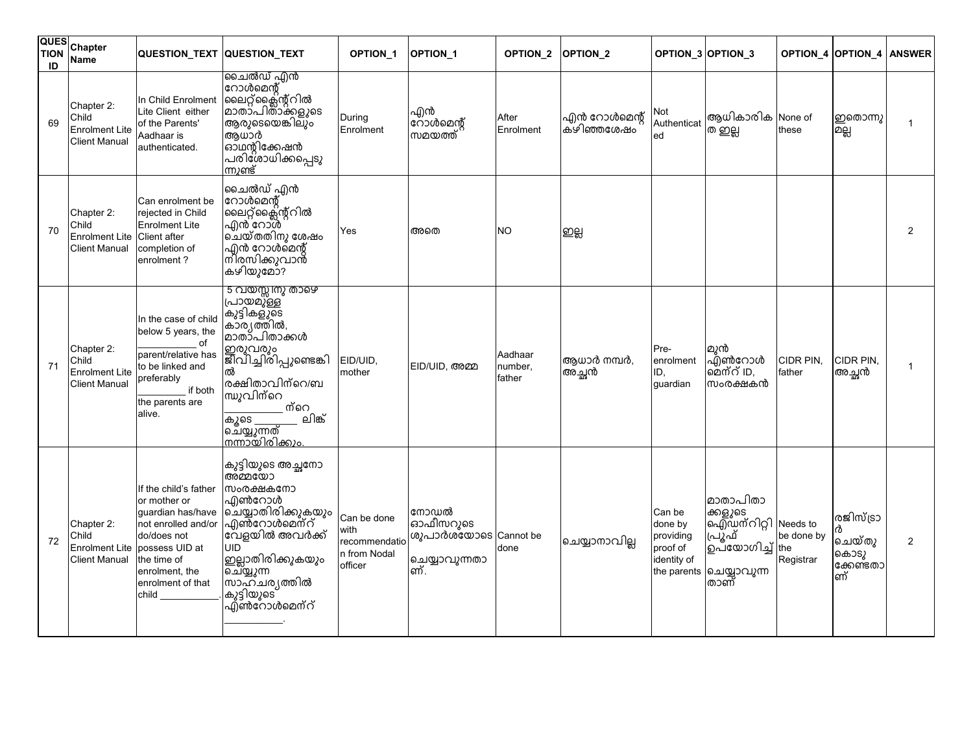| QUES<br><b>TION</b><br>ID | Chapter<br><b>Name</b>                                               | QUESTION_TEXT QUESTION_TEXT                                                                                                                                                                      |                                                                                                                                                                                                                                    | <b>OPTION 1</b>                                                  | <b>OPTION 1</b>                                                   | OPTION <sub>2</sub>          | <b>OPTION 2</b>             |                                                                          | OPTION_3 OPTION_3                                                                            |                                | <b>OPTION 4 OPTION 4</b>                            | <b>ANSWER</b>  |
|---------------------------|----------------------------------------------------------------------|--------------------------------------------------------------------------------------------------------------------------------------------------------------------------------------------------|------------------------------------------------------------------------------------------------------------------------------------------------------------------------------------------------------------------------------------|------------------------------------------------------------------|-------------------------------------------------------------------|------------------------------|-----------------------------|--------------------------------------------------------------------------|----------------------------------------------------------------------------------------------|--------------------------------|-----------------------------------------------------|----------------|
| 69                        | Chapter 2:<br>Child<br><b>Enrolment Lite</b><br><b>Client Manual</b> | In Child Enrolment<br>Lite Client either<br>of the Parents'<br>Aadhaar is<br>authenticated.                                                                                                      | ചൈൽഡ് എൻ<br>റോൾമെന്റ്<br> ലൈറ്റ്ക്ലൈന്റ്റിൽ<br> മാതാ്പിതാക്ക <i>ളു</i> ടെ<br>ആരുടെയെങ്കിലും<br>അധാർ<br>ഓഥന്റിക്കേഷൻ<br>പരിശോധിക്കപ്പെടു<br><u>ന്നുണ്ട്</u>                                                                         | During<br>Enrolment                                              | എൻ<br>റോൾമെന്റ്<br>സമയത്ത്                                        | After<br>Enrolment           | എൻ റോൾമെന്റ്<br>ക്ഴിഞ്ഞശേഷം | Not<br>Authenticat<br>ed                                                 | ആധികാരിക<br>ത ഇല്ല                                                                           | None of<br>these               | ഇതൊന്നു<br>മല്ല                                     | 1              |
| 70                        | Chapter 2:<br>Child<br><b>Enrolment Lite</b><br><b>Client Manual</b> | Can enrolment be<br>rejected in Child<br><b>Enrolment Lite</b><br><b>Client</b> after<br>completion of<br>enrolment?                                                                             | ചൈൽഡ് എൻ<br>റോൾമെന്റ്<br> ലൈറ്റ്ക്ലൈന്റ്റിൽ<br>എൻ്റോൾ<br> ചെയ്തതിനു ശേഷം<br>എൻ റോൾമെന്റ്<br>ന്ിരസിക്കുവാൻ<br>കഴിയുമോ?                                                                                                              | Yes                                                              | അതെ                                                               | NO.                          | ஜ்                          |                                                                          |                                                                                              |                                |                                                     | $\overline{2}$ |
| 71                        | Chapter 2:<br>Child<br><b>Enrolment Lite</b><br><b>Client Manual</b> | In the case of child<br>below 5 years, the<br>of<br>parent/relative has<br>to be linked and<br>preferably<br>if both<br>the parents are<br>alive.                                                | <u>5 വയസ്സിനു താഴെ</u><br>പ്രായമു്ള്ള<br>കുട്ടികളുടെ<br>കാര്യത്തിൽ,<br>മാതാ്പിതാക്കൾ<br> ഇരുവരും<br> ജീവിച്ചിരിപ്പുണ്ടെങ്കി<br>ൽ<br>രക്ഷിതാവിന്റെ/ബ<br>ന്ധുവിന്റെ<br>ന്റെ<br>ലിങ്<br>കൂടെ<br>െച്യുുന്നത്<br><u> നന്നായിരിക്കും</u> | EID/UID,<br>mother                                               | EID/UID, അമ്മ                                                     | Aadhaar<br>number,<br>father | ആധാർ നമ്പർ,<br>അച്ചൻ        | Pre-<br>enrolment<br>ID.<br>quardian                                     | മുൻ<br>എൺറോൾ<br>മെന്റ് ID.<br>സംരക്ഷകൻ                                                       | CIDR PIN,<br>father            | CIDR PIN,<br>അച്ഛൻ                                  | 1              |
| 72                        | Chapter 2:<br>Child<br><b>Client Manual</b>                          | If the child's father<br>or mother or<br>guardian has/have<br>not enrolled and/or<br>do/does not<br>Enrolment Lite possess UID at<br>the time of<br>enrolment, the<br>enrolment of that<br>child | കുട്ടിയുടെ അച്ഛനോ<br>അമ്മയോ<br>സംരക്ഷകനോ<br>എൺറോൾ<br> ചെയ്യാതിരിക്കുകയും<br>എൺറോൾമെന്റ്<br>വേളയിൽ അവർക്ക്<br>UID<br>ഇല്ലാതിരിക്കുകയും<br>ചെ്യ്യുന്ന<br>സാഹചര്യത്തിൽ<br>കുട്ടിയുടെ<br>എ്ൺറോൾമെന്റ്                                  | Can be done<br>with<br>recommendatio<br>In from Nodal<br>officer | നോഡൽ<br>ഓഫീസറുടെ<br>ശുപാർശ്യോടെ Cannot be<br>ചെയ്യാവുന്നതാ<br>ണ്. | done                         | ചെയ്യാനാവില്ല               | Can be<br>done by<br>providing<br>proof of<br>identity of<br>the parents | മാതാപിതാ<br>ക്കളുടെ<br>ഐഡന്റിറ്റി Needs to<br>പ്രൂഫ്<br>൭പ്യോഗിച്ച്<br> ചെയ്യാവുന്ന<br> താണ് | be done by<br>the<br>Registrar | രജിസ്ട്രാ<br>ർ<br>ചെയ്തു<br>കൊടു<br>ക്കേണ്ടതാ<br>ണ് | 2              |